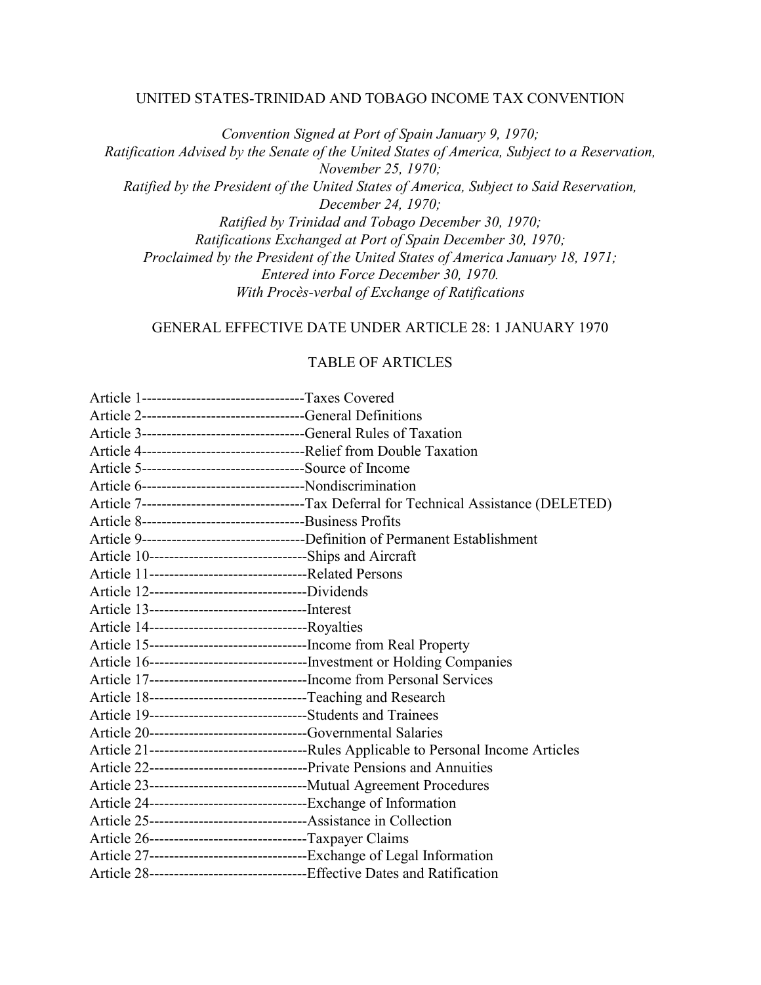### UNITED STATES-TRINIDAD AND TOBAGO INCOME TAX CONVENTION

*Convention Signed at Port of Spain January 9, 1970; Ratification Advised by the Senate of the United States of America, Subject to a Reservation, November 25, 1970; Ratified by the President of the United States of America, Subject to Said Reservation, December 24, 1970; Ratified by Trinidad and Tobago December 30, 1970; Ratifications Exchanged at Port of Spain December 30, 1970; Proclaimed by the President of the United States of America January 18, 1971; Entered into Force December 30, 1970. With Procès-verbal of Exchange of Ratifications*

GENERAL EFFECTIVE DATE UNDER ARTICLE 28: 1 JANUARY 1970

### TABLE OF ARTICLES

| Article 1---------------------------------Taxes Covered                     |                                                                                          |
|-----------------------------------------------------------------------------|------------------------------------------------------------------------------------------|
|                                                                             |                                                                                          |
|                                                                             |                                                                                          |
|                                                                             |                                                                                          |
| Article 5----------------------------------Source of Income                 |                                                                                          |
| Article 6----------------------------------Nondiscrimination                |                                                                                          |
|                                                                             | Article 7--------------------------------Tax Deferral for Technical Assistance (DELETED) |
|                                                                             |                                                                                          |
|                                                                             |                                                                                          |
| Article 10---------------------------------Ships and Aircraft               |                                                                                          |
|                                                                             |                                                                                          |
|                                                                             |                                                                                          |
|                                                                             |                                                                                          |
|                                                                             |                                                                                          |
|                                                                             |                                                                                          |
|                                                                             | Article 16----------------------------------Investment or Holding Companies              |
| Article 17-----------------------------------Income from Personal Services  |                                                                                          |
| Article 18-------------------------------Teaching and Research              |                                                                                          |
| Article 19----------------------------------Students and Trainees           |                                                                                          |
|                                                                             |                                                                                          |
|                                                                             |                                                                                          |
|                                                                             |                                                                                          |
|                                                                             |                                                                                          |
| Article 24-----------------------------------Exchange of Information        |                                                                                          |
| Article 25---------------------------------Assistance in Collection         |                                                                                          |
| Article 26-------------------------------Taxpayer Claims                    |                                                                                          |
|                                                                             |                                                                                          |
| Article 28---------------------------------Effective Dates and Ratification |                                                                                          |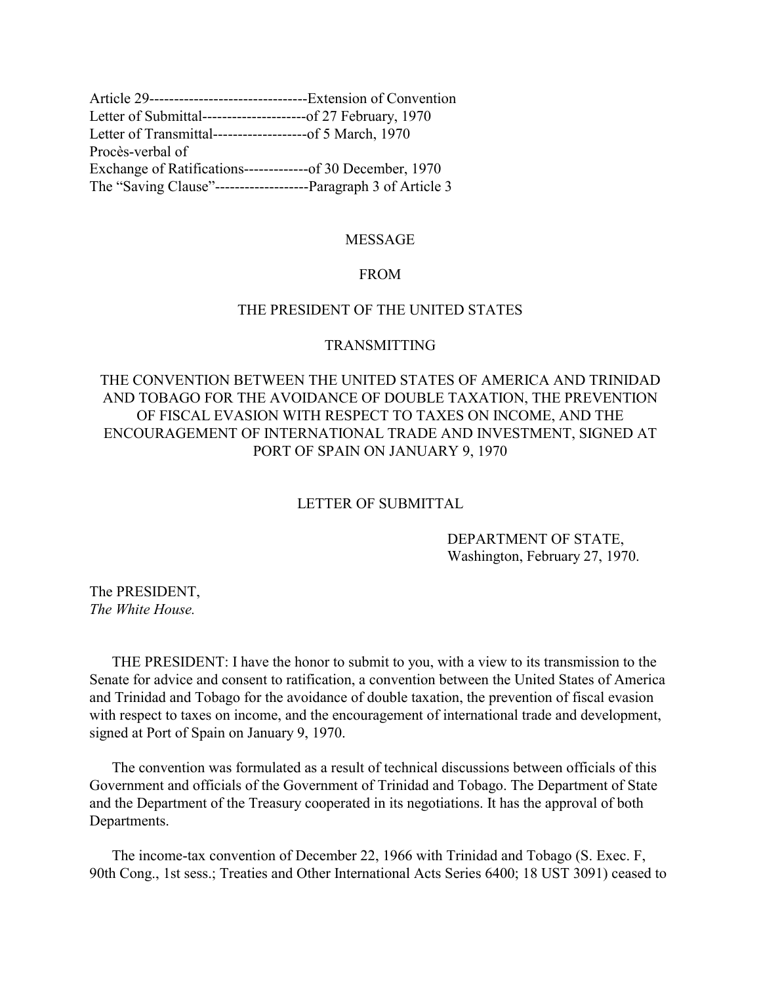<span id="page-1-0"></span>

| Article 29----------------------------------Extension of Convention |  |
|---------------------------------------------------------------------|--|
| Letter of Submittal----------------------of 27 February, 1970       |  |
| Letter of Transmittal--------------------of 5 March, 1970           |  |
| Procès-verbal of                                                    |  |
| Exchange of Ratifications--------------of 30 December, 1970         |  |
|                                                                     |  |

### MESSAGE

## FROM

## THE PRESIDENT OF THE UNITED STATES

### TRANSMITTING

# THE CONVENTION BETWEEN THE UNITED STATES OF AMERICA AND TRINIDAD AND TOBAGO FOR THE AVOIDANCE OF DOUBLE TAXATION, THE PREVENTION OF FISCAL EVASION WITH RESPECT TO TAXES ON INCOME, AND THE ENCOURAGEMENT OF INTERNATIONAL TRADE AND INVESTMENT, SIGNED AT PORT OF SPAIN ON JANUARY 9, 1970

### LETTER OF SUBMITTAL

### DEPARTMENT OF STATE, Washington, February 27, 1970.

The PRESIDENT, *The White House.*

 THE PRESIDENT: I have the honor to submit to you, with a view to its transmission to the Senate for advice and consent to ratification, a convention between the United States of America and Trinidad and Tobago for the avoidance of double taxation, the prevention of fiscal evasion with respect to taxes on income, and the encouragement of international trade and development, signed at Port of Spain on January 9, 1970.

 The convention was formulated as a result of technical discussions between officials of this Government and officials of the Government of Trinidad and Tobago. The Department of State and the Department of the Treasury cooperated in its negotiations. It has the approval of both Departments.

 The income-tax convention of December 22, 1966 with Trinidad and Tobago (S. Exec. F, 90th Cong., 1st sess.; Treaties and Other International Acts Series 6400; 18 UST 3091) ceased to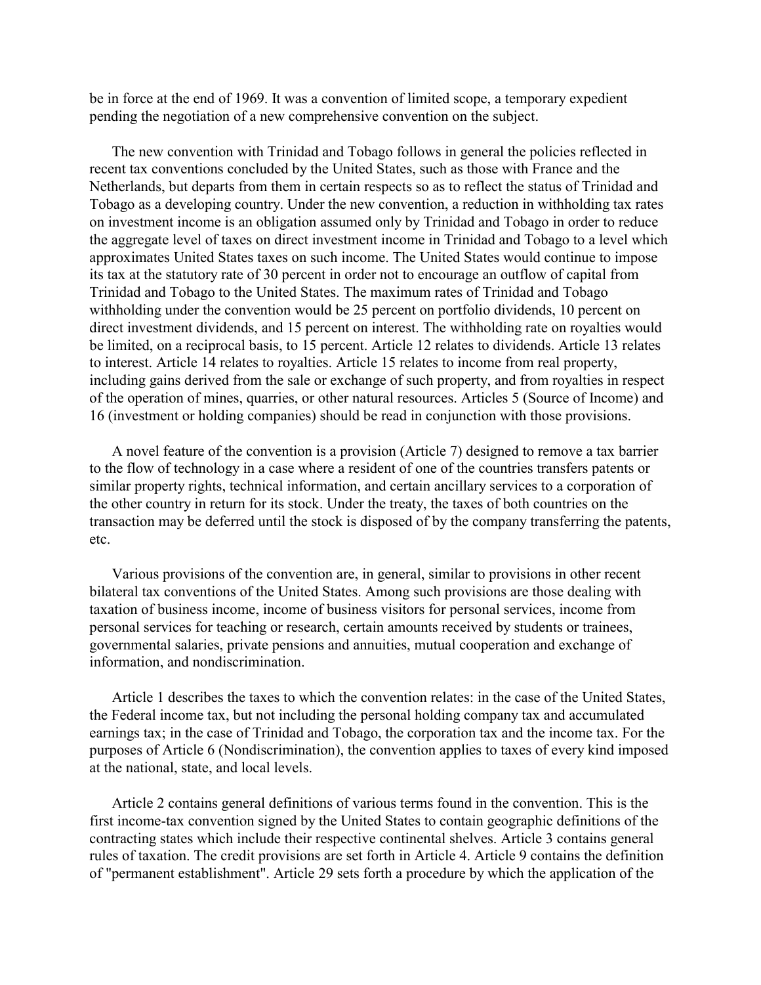be in force at the end of 1969. It was a convention of limited scope, a temporary expedient pending the negotiation of a new comprehensive convention on the subject.

 The new convention with Trinidad and Tobago follows in general the policies reflected in recent tax conventions concluded by the United States, such as those with France and the Netherlands, but departs from them in certain respects so as to reflect the status of Trinidad and Tobago as a developing country. Under the new convention, a reduction in withholding tax rates on investment income is an obligation assumed only by Trinidad and Tobago in order to reduce the aggregate level of taxes on direct investment income in Trinidad and Tobago to a level which approximates United States taxes on such income. The United States would continue to impose its tax at the statutory rate of 30 percent in order not to encourage an outflow of capital from Trinidad and Tobago to the United States. The maximum rates of Trinidad and Tobago withholding under the convention would be 25 percent on portfolio dividends, 10 percent on direct investment dividends, and 15 percent on interest. The withholding rate on royalties would be limited, on a reciprocal basis, to 15 percent. Article 12 relates to dividends. Article 13 relates to interest. Article 14 relates to royalties. Article 15 relates to income from real property, including gains derived from the sale or exchange of such property, and from royalties in respect of the operation of mines, quarries, or other natural resources. Articles 5 (Source of Income) and 16 (investment or holding companies) should be read in conjunction with those provisions.

 A novel feature of the convention is a provision (Article 7) designed to remove a tax barrier to the flow of technology in a case where a resident of one of the countries transfers patents or similar property rights, technical information, and certain ancillary services to a corporation of the other country in return for its stock. Under the treaty, the taxes of both countries on the transaction may be deferred until the stock is disposed of by the company transferring the patents, etc.

 Various provisions of the convention are, in general, similar to provisions in other recent bilateral tax conventions of the United States. Among such provisions are those dealing with taxation of business income, income of business visitors for personal services, income from personal services for teaching or research, certain amounts received by students or trainees, governmental salaries, private pensions and annuities, mutual cooperation and exchange of information, and nondiscrimination.

 Article 1 describes the taxes to which the convention relates: in the case of the United States, the Federal income tax, but not including the personal holding company tax and accumulated earnings tax; in the case of Trinidad and Tobago, the corporation tax and the income tax. For the purposes of Article 6 (Nondiscrimination), the convention applies to taxes of every kind imposed at the national, state, and local levels.

 Article 2 contains general definitions of various terms found in the convention. This is the first income-tax convention signed by the United States to contain geographic definitions of the contracting states which include their respective continental shelves. Article 3 contains general rules of taxation. The credit provisions are set forth in Article 4. Article 9 contains the definition of "permanent establishment". Article 29 sets forth a procedure by which the application of the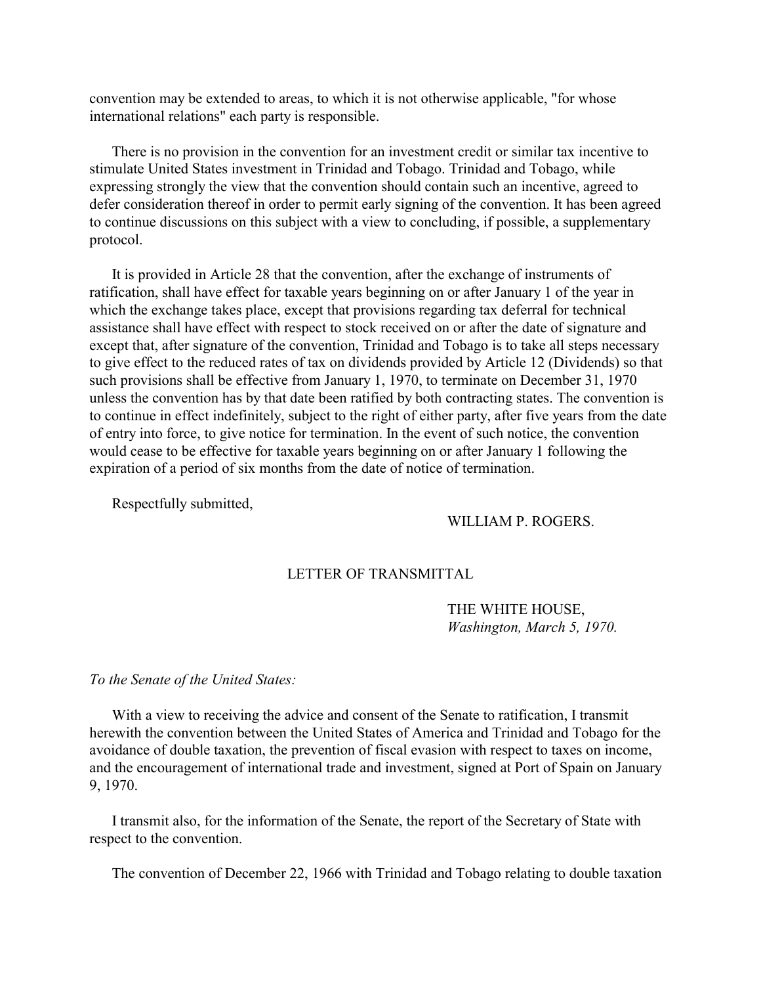<span id="page-3-0"></span>convention may be extended to areas, to which it is not otherwise applicable, "for whose international relations" each party is responsible.

 There is no provision in the convention for an investment credit or similar tax incentive to stimulate United States investment in Trinidad and Tobago. Trinidad and Tobago, while expressing strongly the view that the convention should contain such an incentive, agreed to defer consideration thereof in order to permit early signing of the convention. It has been agreed to continue discussions on this subject with a view to concluding, if possible, a supplementary protocol.

 It is provided in Article 28 that the convention, after the exchange of instruments of ratification, shall have effect for taxable years beginning on or after January 1 of the year in which the exchange takes place, except that provisions regarding tax deferral for technical assistance shall have effect with respect to stock received on or after the date of signature and except that, after signature of the convention, Trinidad and Tobago is to take all steps necessary to give effect to the reduced rates of tax on dividends provided by Article 12 (Dividends) so that such provisions shall be effective from January 1, 1970, to terminate on December 31, 1970 unless the convention has by that date been ratified by both contracting states. The convention is to continue in effect indefinitely, subject to the right of either party, after five years from the date of entry into force, to give notice for termination. In the event of such notice, the convention would cease to be effective for taxable years beginning on or after January 1 following the expiration of a period of six months from the date of notice of termination.

Respectfully submitted,

### WILLIAM P. ROGERS.

## LETTER OF TRANSMITTAL

THE WHITE HOUSE, *Washington, March 5, 1970.*

#### *To the Senate of the United States:*

 With a view to receiving the advice and consent of the Senate to ratification, I transmit herewith the convention between the United States of America and Trinidad and Tobago for the avoidance of double taxation, the prevention of fiscal evasion with respect to taxes on income, and the encouragement of international trade and investment, signed at Port of Spain on January 9, 1970.

 I transmit also, for the information of the Senate, the report of the Secretary of State with respect to the convention.

The convention of December 22, 1966 with Trinidad and Tobago relating to double taxation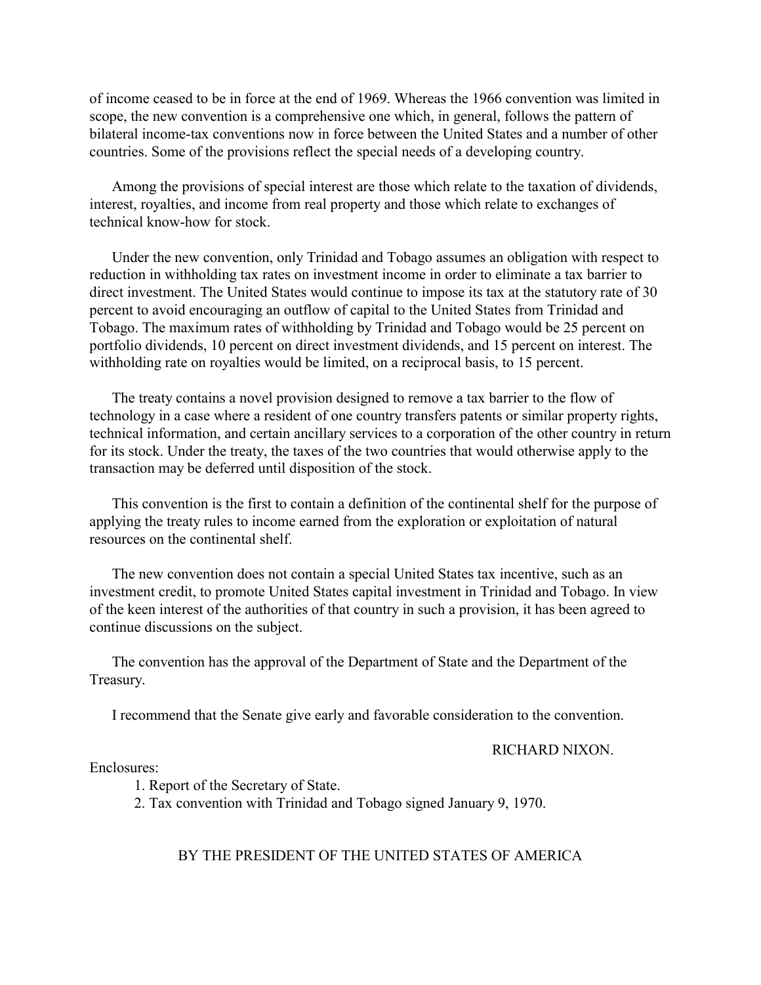of income ceased to be in force at the end of 1969. Whereas the 1966 convention was limited in scope, the new convention is a comprehensive one which, in general, follows the pattern of bilateral income-tax conventions now in force between the United States and a number of other countries. Some of the provisions reflect the special needs of a developing country.

 Among the provisions of special interest are those which relate to the taxation of dividends, interest, royalties, and income from real property and those which relate to exchanges of technical know-how for stock.

 Under the new convention, only Trinidad and Tobago assumes an obligation with respect to reduction in withholding tax rates on investment income in order to eliminate a tax barrier to direct investment. The United States would continue to impose its tax at the statutory rate of 30 percent to avoid encouraging an outflow of capital to the United States from Trinidad and Tobago. The maximum rates of withholding by Trinidad and Tobago would be 25 percent on portfolio dividends, 10 percent on direct investment dividends, and 15 percent on interest. The withholding rate on royalties would be limited, on a reciprocal basis, to 15 percent.

 The treaty contains a novel provision designed to remove a tax barrier to the flow of technology in a case where a resident of one country transfers patents or similar property rights, technical information, and certain ancillary services to a corporation of the other country in return for its stock. Under the treaty, the taxes of the two countries that would otherwise apply to the transaction may be deferred until disposition of the stock.

 This convention is the first to contain a definition of the continental shelf for the purpose of applying the treaty rules to income earned from the exploration or exploitation of natural resources on the continental shelf.

 The new convention does not contain a special United States tax incentive, such as an investment credit, to promote United States capital investment in Trinidad and Tobago. In view of the keen interest of the authorities of that country in such a provision, it has been agreed to continue discussions on the subject.

 The convention has the approval of the Department of State and the Department of the Treasury.

I recommend that the Senate give early and favorable consideration to the convention.

RICHARD NIXON.

Enclosures:

1. Report of the Secretary of State.

2. Tax convention with Trinidad and Tobago signed January 9, 1970.

BY THE PRESIDENT OF THE UNITED STATES OF AMERICA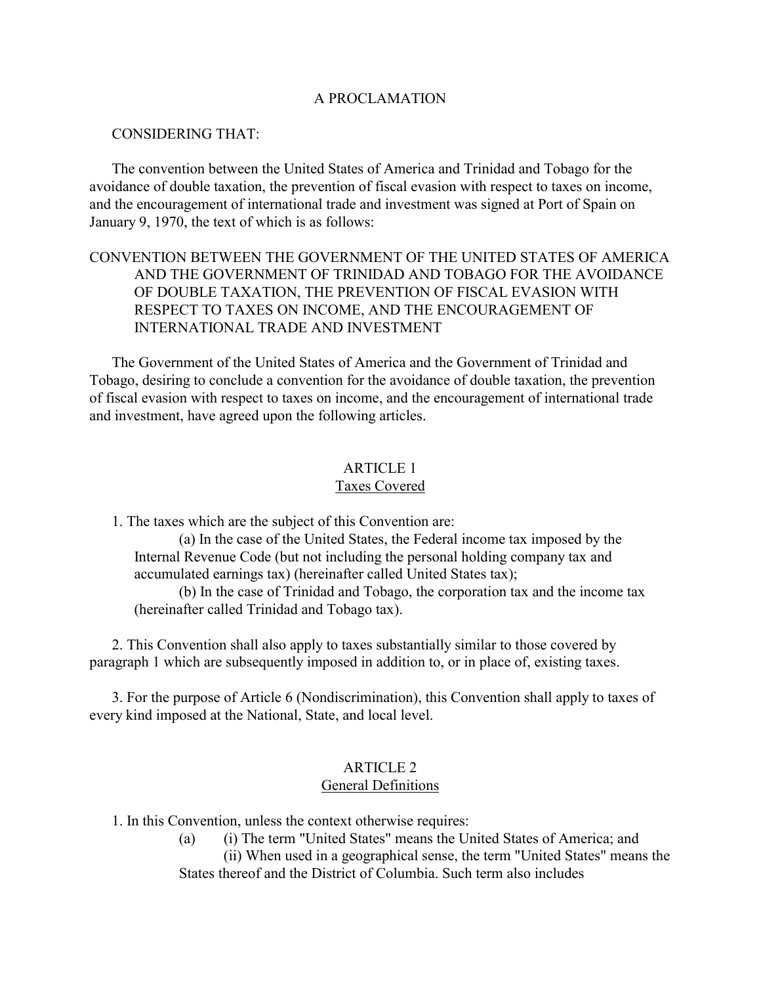## A PROCLAMATION

## <span id="page-5-0"></span>CONSIDERING THAT:

 The convention between the United States of America and Trinidad and Tobago for the avoidance of double taxation, the prevention of fiscal evasion with respect to taxes on income, and the encouragement of international trade and investment was signed at Port of Spain on January 9, 1970, the text of which is as follows:

# CONVENTION BETWEEN THE GOVERNMENT OF THE UNITED STATES OF AMERICA AND THE GOVERNMENT OF TRINIDAD AND TOBAGO FOR THE AVOIDANCE OF DOUBLE TAXATION, THE PREVENTION OF FISCAL EVASION WITH RESPECT TO TAXES ON INCOME, AND THE ENCOURAGEMENT OF INTERNATIONAL TRADE AND INVESTMENT

<span id="page-5-1"></span> The Government of the United States of America and the Government of Trinidad and Tobago, desiring to conclude a convention for the avoidance of double taxation, the prevention of fiscal evasion with respect to taxes on income, and the encouragement of international trade and investment, have agreed upon the following articles.

## ARTICLE 1 Taxes Covered

1. The taxes which are the subject of this Convention are:

(a) In the case of the United States, the Federal income tax imposed by the Internal Revenue Code (but not including the personal holding company tax and accumulated earnings tax) (hereinafter called United States tax);

(b) In the case of Trinidad and Tobago, the corporation tax and the income tax (hereinafter called Trinidad and Tobago tax).

 2. This Convention shall also apply to taxes substantially similar to those covered by paragraph 1 which are subsequently imposed in addition to, or in place of, existing taxes.

 3. For the purpose of Article 6 (Nondiscrimination), this Convention shall apply to taxes of every kind imposed at the National, State, and local level.

## ARTICLE 2 General Definitions

1. In this Convention, unless the context otherwise requires:

 (a) (i) The term "United States" means the United States of America; and (ii) When used in a geographical sense, the term "United States" means the States thereof and the District of Columbia. Such term also includes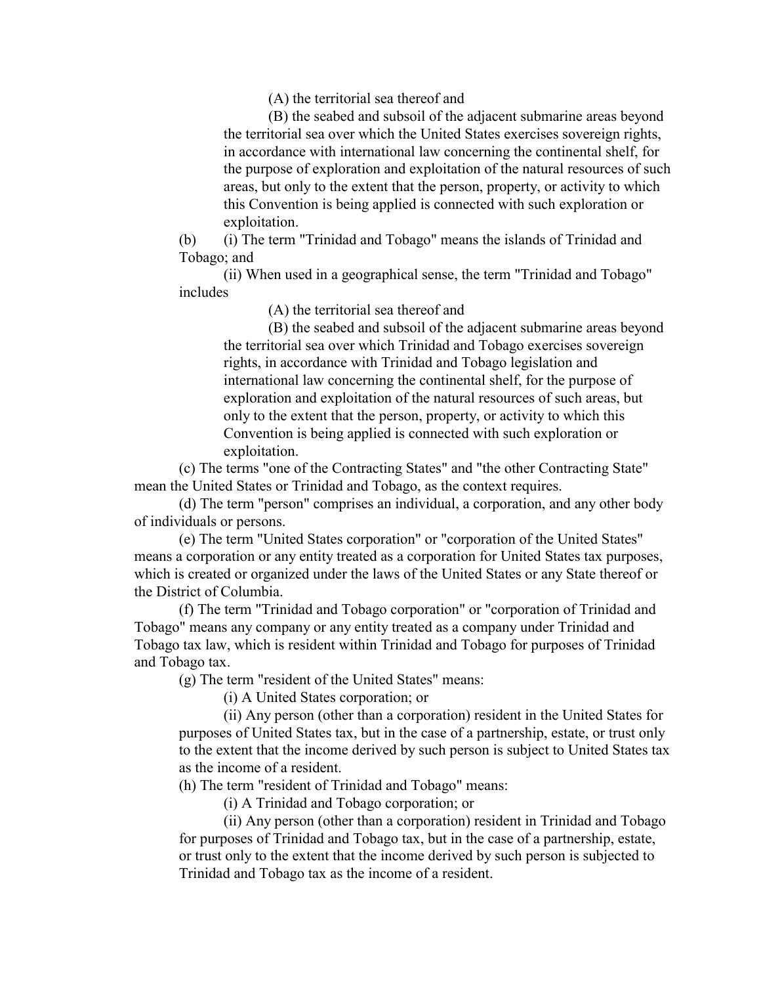(A) the territorial sea thereof and

(B) the seabed and subsoil of the adjacent submarine areas beyond the territorial sea over which the United States exercises sovereign rights, in accordance with international law concerning the continental shelf, for the purpose of exploration and exploitation of the natural resources of such areas, but only to the extent that the person, property, or activity to which this Convention is being applied is connected with such exploration or exploitation.

 (b) (i) The term "Trinidad and Tobago" means the islands of Trinidad and Tobago; and

(ii) When used in a geographical sense, the term "Trinidad and Tobago" includes

(A) the territorial sea thereof and

(B) the seabed and subsoil of the adjacent submarine areas beyond the territorial sea over which Trinidad and Tobago exercises sovereign rights, in accordance with Trinidad and Tobago legislation and international law concerning the continental shelf, for the purpose of exploration and exploitation of the natural resources of such areas, but only to the extent that the person, property, or activity to which this Convention is being applied is connected with such exploration or exploitation.

(c) The terms "one of the Contracting States" and "the other Contracting State" mean the United States or Trinidad and Tobago, as the context requires.

(d) The term "person" comprises an individual, a corporation, and any other body of individuals or persons.

(e) The term "United States corporation" or "corporation of the United States" means a corporation or any entity treated as a corporation for United States tax purposes, which is created or organized under the laws of the United States or any State thereof or the District of Columbia.

(f) The term "Trinidad and Tobago corporation" or "corporation of Trinidad and Tobago" means any company or any entity treated as a company under Trinidad and Tobago tax law, which is resident within Trinidad and Tobago for purposes of Trinidad and Tobago tax.

(g) The term "resident of the United States" means:

(i) A United States corporation; or

(ii) Any person (other than a corporation) resident in the United States for purposes of United States tax, but in the case of a partnership, estate, or trust only to the extent that the income derived by such person is subject to United States tax as the income of a resident.

(h) The term "resident of Trinidad and Tobago" means:

(i) A Trinidad and Tobago corporation; or

(ii) Any person (other than a corporation) resident in Trinidad and Tobago for purposes of Trinidad and Tobago tax, but in the case of a partnership, estate, or trust only to the extent that the income derived by such person is subjected to Trinidad and Tobago tax as the income of a resident.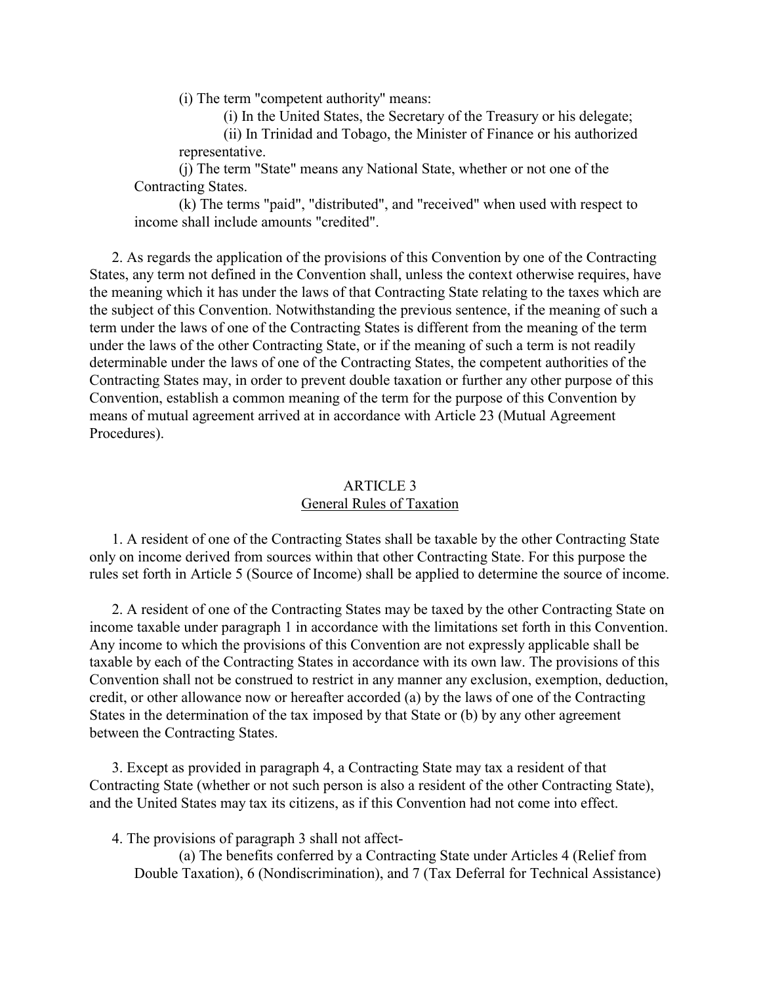(i) The term "competent authority" means:

(i) In the United States, the Secretary of the Treasury or his delegate;

(ii) In Trinidad and Tobago, the Minister of Finance or his authorized representative.

<span id="page-7-0"></span>(j) The term "State" means any National State, whether or not one of the Contracting States.

(k) The terms "paid", "distributed", and "received" when used with respect to income shall include amounts "credited".

 2. As regards the application of the provisions of this Convention by one of the Contracting States, any term not defined in the Convention shall, unless the context otherwise requires, have the meaning which it has under the laws of that Contracting State relating to the taxes which are the subject of this Convention. Notwithstanding the previous sentence, if the meaning of such a term under the laws of one of the Contracting States is different from the meaning of the term under the laws of the other Contracting State, or if the meaning of such a term is not readily determinable under the laws of one of the Contracting States, the competent authorities of the Contracting States may, in order to prevent double taxation or further any other purpose of this Convention, establish a common meaning of the term for the purpose of this Convention by means of mutual agreement arrived at in accordance with Article 23 (Mutual Agreement Procedures).

# ARTICLE 3 General Rules of Taxation

 1. A resident of one of the Contracting States shall be taxable by the other Contracting State only on income derived from sources within that other Contracting State. For this purpose the rules set forth in Article 5 (Source of Income) shall be applied to determine the source of income.

 2. A resident of one of the Contracting States may be taxed by the other Contracting State on income taxable under paragraph 1 in accordance with the limitations set forth in this Convention. Any income to which the provisions of this Convention are not expressly applicable shall be taxable by each of the Contracting States in accordance with its own law. The provisions of this Convention shall not be construed to restrict in any manner any exclusion, exemption, deduction, credit, or other allowance now or hereafter accorded (a) by the laws of one of the Contracting States in the determination of the tax imposed by that State or (b) by any other agreement between the Contracting States.

 3. Except as provided in paragraph 4, a Contracting State may tax a resident of that Contracting State (whether or not such person is also a resident of the other Contracting State), and the United States may tax its citizens, as if this Convention had not come into effect.

4. The provisions of paragraph 3 shall not affect-

(a) The benefits conferred by a Contracting State under Articles 4 (Relief from Double Taxation), 6 (Nondiscrimination), and 7 (Tax Deferral for Technical Assistance)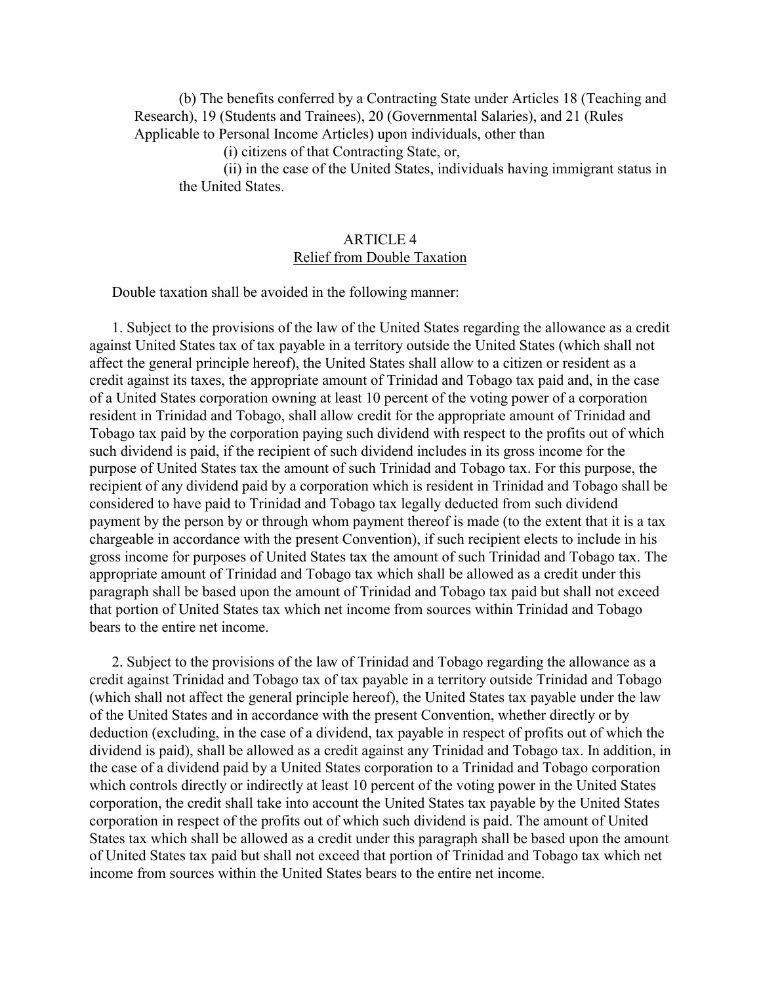<span id="page-8-0"></span>(b) The benefits conferred by a Contracting State under Articles 18 (Teaching and Research), 19 (Students and Trainees), 20 (Governmental Salaries), and 21 (Rules Applicable to Personal Income Articles) upon individuals, other than

(i) citizens of that Contracting State, or,

(ii) in the case of the United States, individuals having immigrant status in the United States.

## ARTICLE 4 Relief from Double Taxation

Double taxation shall be avoided in the following manner:

 1. Subject to the provisions of the law of the United States regarding the allowance as a credit against United States tax of tax payable in a territory outside the United States (which shall not affect the general principle hereof), the United States shall allow to a citizen or resident as a credit against its taxes, the appropriate amount of Trinidad and Tobago tax paid and, in the case of a United States corporation owning at least 10 percent of the voting power of a corporation resident in Trinidad and Tobago, shall allow credit for the appropriate amount of Trinidad and Tobago tax paid by the corporation paying such dividend with respect to the profits out of which such dividend is paid, if the recipient of such dividend includes in its gross income for the purpose of United States tax the amount of such Trinidad and Tobago tax. For this purpose, the recipient of any dividend paid by a corporation which is resident in Trinidad and Tobago shall be considered to have paid to Trinidad and Tobago tax legally deducted from such dividend payment by the person by or through whom payment thereof is made (to the extent that it is a tax chargeable in accordance with the present Convention), if such recipient elects to include in his gross income for purposes of United States tax the amount of such Trinidad and Tobago tax. The appropriate amount of Trinidad and Tobago tax which shall be allowed as a credit under this paragraph shall be based upon the amount of Trinidad and Tobago tax paid but shall not exceed that portion of United States tax which net income from sources within Trinidad and Tobago bears to the entire net income.

 2. Subject to the provisions of the law of Trinidad and Tobago regarding the allowance as a credit against Trinidad and Tobago tax of tax payable in a territory outside Trinidad and Tobago (which shall not affect the general principle hereof), the United States tax payable under the law of the United States and in accordance with the present Convention, whether directly or by deduction (excluding, in the case of a dividend, tax payable in respect of profits out of which the dividend is paid), shall be allowed as a credit against any Trinidad and Tobago tax. In addition, in the case of a dividend paid by a United States corporation to a Trinidad and Tobago corporation which controls directly or indirectly at least 10 percent of the voting power in the United States corporation, the credit shall take into account the United States tax payable by the United States corporation in respect of the profits out of which such dividend is paid. The amount of United States tax which shall be allowed as a credit under this paragraph shall be based upon the amount of United States tax paid but shall not exceed that portion of Trinidad and Tobago tax which net income from sources within the United States bears to the entire net income.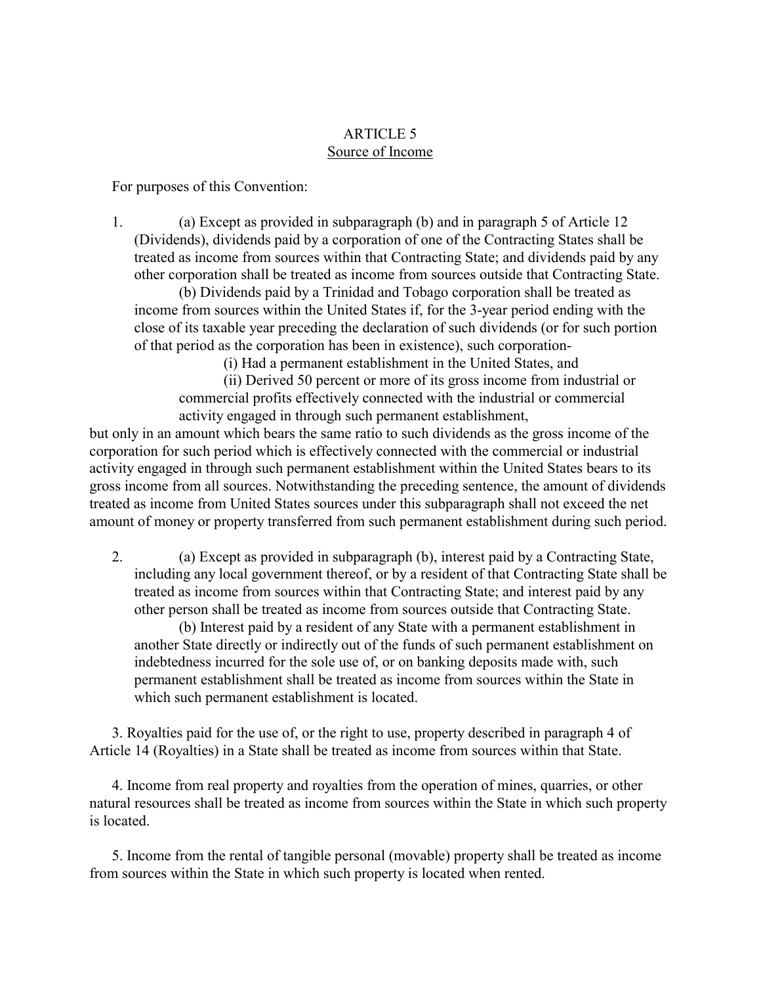# ARTICLE 5 Source of Income

<span id="page-9-0"></span>For purposes of this Convention:

 1. (a) Except as provided in subparagraph (b) and in paragraph 5 of Article 12 (Dividends), dividends paid by a corporation of one of the Contracting States shall be treated as income from sources within that Contracting State; and dividends paid by any other corporation shall be treated as income from sources outside that Contracting State.

(b) Dividends paid by a Trinidad and Tobago corporation shall be treated as income from sources within the United States if, for the 3-year period ending with the close of its taxable year preceding the declaration of such dividends (or for such portion of that period as the corporation has been in existence), such corporation-

(i) Had a permanent establishment in the United States, and

(ii) Derived 50 percent or more of its gross income from industrial or commercial profits effectively connected with the industrial or commercial activity engaged in through such permanent establishment,

but only in an amount which bears the same ratio to such dividends as the gross income of the corporation for such period which is effectively connected with the commercial or industrial activity engaged in through such permanent establishment within the United States bears to its gross income from all sources. Notwithstanding the preceding sentence, the amount of dividends treated as income from United States sources under this subparagraph shall not exceed the net amount of money or property transferred from such permanent establishment during such period.

 2. (a) Except as provided in subparagraph (b), interest paid by a Contracting State, including any local government thereof, or by a resident of that Contracting State shall be treated as income from sources within that Contracting State; and interest paid by any other person shall be treated as income from sources outside that Contracting State.

(b) Interest paid by a resident of any State with a permanent establishment in another State directly or indirectly out of the funds of such permanent establishment on indebtedness incurred for the sole use of, or on banking deposits made with, such permanent establishment shall be treated as income from sources within the State in which such permanent establishment is located.

 3. Royalties paid for the use of, or the right to use, property described in paragraph 4 of Article 14 (Royalties) in a State shall be treated as income from sources within that State.

 4. Income from real property and royalties from the operation of mines, quarries, or other natural resources shall be treated as income from sources within the State in which such property is located.

 5. Income from the rental of tangible personal (movable) property shall be treated as income from sources within the State in which such property is located when rented.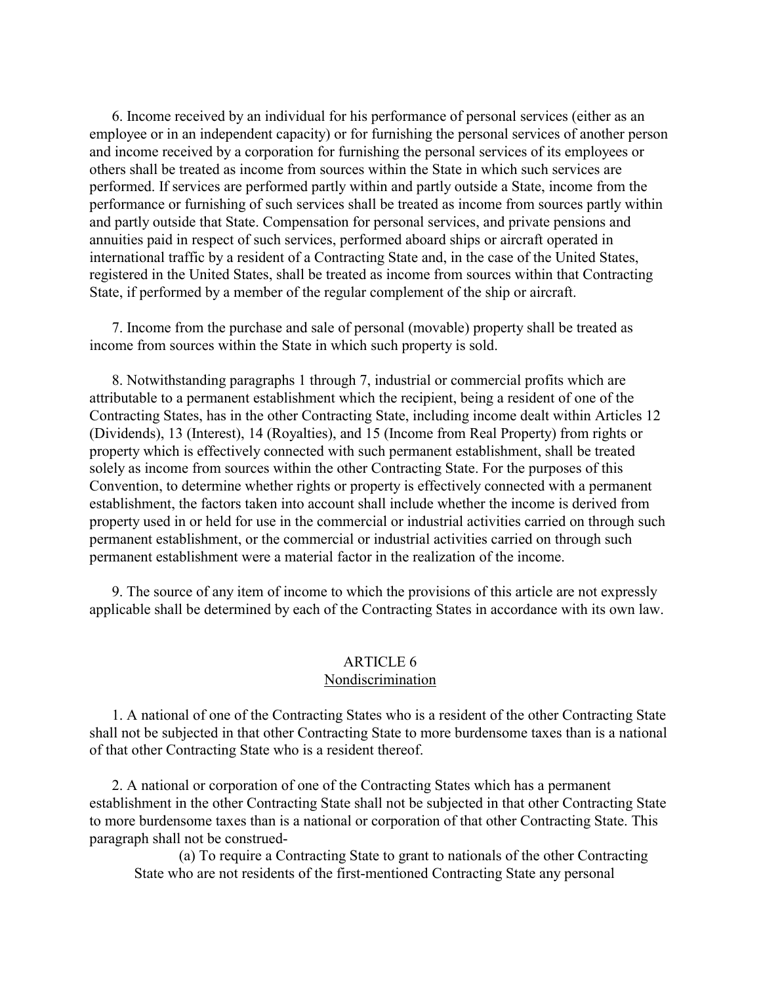6. Income received by an individual for his performance of personal services (either as an employee or in an independent capacity) or for furnishing the personal services of another person and income received by a corporation for furnishing the personal services of its employees or others shall be treated as income from sources within the State in which such services are performed. If services are performed partly within and partly outside a State, income from the performance or furnishing of such services shall be treated as income from sources partly within and partly outside that State. Compensation for personal services, and private pensions and annuities paid in respect of such services, performed aboard ships or aircraft operated in international traffic by a resident of a Contracting State and, in the case of the United States, registered in the United States, shall be treated as income from sources within that Contracting State, if performed by a member of the regular complement of the ship or aircraft.

 7. Income from the purchase and sale of personal (movable) property shall be treated as income from sources within the State in which such property is sold.

<span id="page-10-0"></span> 8. Notwithstanding paragraphs 1 through 7, industrial or commercial profits which are attributable to a permanent establishment which the recipient, being a resident of one of the Contracting States, has in the other Contracting State, including income dealt within Articles 12 (Dividends), 13 (Interest), 14 (Royalties), and 15 (Income from Real Property) from rights or property which is effectively connected with such permanent establishment, shall be treated solely as income from sources within the other Contracting State. For the purposes of this Convention, to determine whether rights or property is effectively connected with a permanent establishment, the factors taken into account shall include whether the income is derived from property used in or held for use in the commercial or industrial activities carried on through such permanent establishment, or the commercial or industrial activities carried on through such permanent establishment were a material factor in the realization of the income.

 9. The source of any item of income to which the provisions of this article are not expressly applicable shall be determined by each of the Contracting States in accordance with its own law.

### ARTICLE 6 Nondiscrimination

 1. A national of one of the Contracting States who is a resident of the other Contracting State shall not be subjected in that other Contracting State to more burdensome taxes than is a national of that other Contracting State who is a resident thereof.

 2. A national or corporation of one of the Contracting States which has a permanent establishment in the other Contracting State shall not be subjected in that other Contracting State to more burdensome taxes than is a national or corporation of that other Contracting State. This paragraph shall not be construed-

(a) To require a Contracting State to grant to nationals of the other Contracting State who are not residents of the first-mentioned Contracting State any personal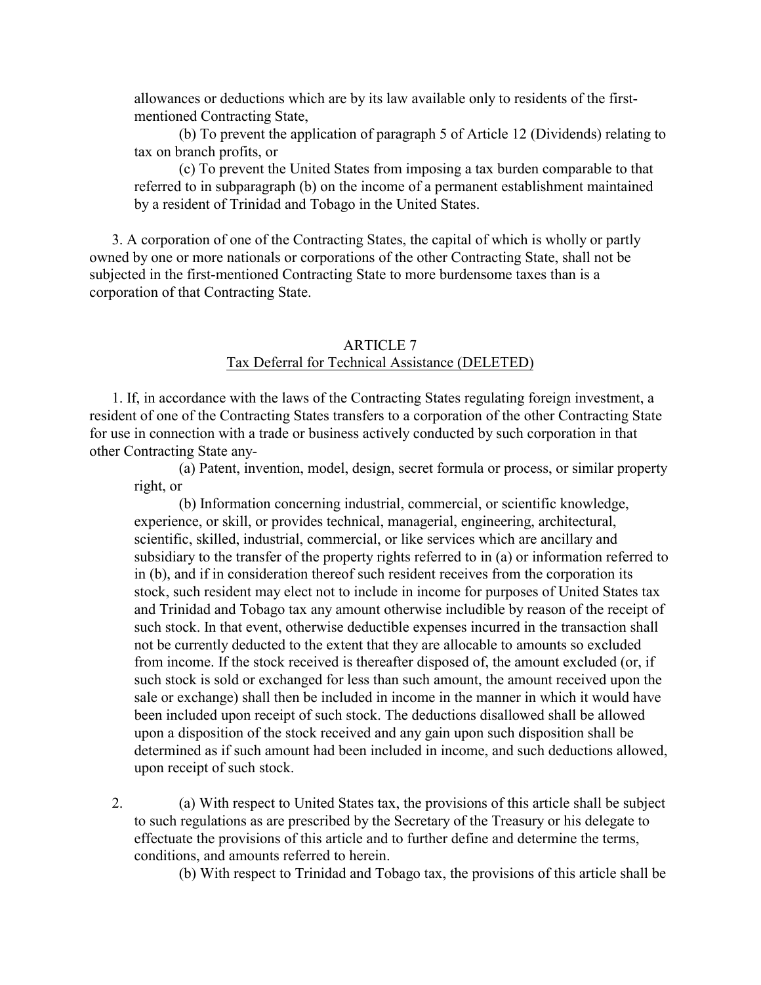<span id="page-11-0"></span>allowances or deductions which are by its law available only to residents of the firstmentioned Contracting State,

(b) To prevent the application of paragraph 5 of Article 12 (Dividends) relating to tax on branch profits, or

(c) To prevent the United States from imposing a tax burden comparable to that referred to in subparagraph (b) on the income of a permanent establishment maintained by a resident of Trinidad and Tobago in the United States.

 3. A corporation of one of the Contracting States, the capital of which is wholly or partly owned by one or more nationals or corporations of the other Contracting State, shall not be subjected in the first-mentioned Contracting State to more burdensome taxes than is a corporation of that Contracting State.

## ARTICLE 7 Tax Deferral for Technical Assistance (DELETED)

 1. If, in accordance with the laws of the Contracting States regulating foreign investment, a resident of one of the Contracting States transfers to a corporation of the other Contracting State for use in connection with a trade or business actively conducted by such corporation in that other Contracting State any-

(a) Patent, invention, model, design, secret formula or process, or similar property right, or

(b) Information concerning industrial, commercial, or scientific knowledge, experience, or skill, or provides technical, managerial, engineering, architectural, scientific, skilled, industrial, commercial, or like services which are ancillary and subsidiary to the transfer of the property rights referred to in (a) or information referred to in (b), and if in consideration thereof such resident receives from the corporation its stock, such resident may elect not to include in income for purposes of United States tax and Trinidad and Tobago tax any amount otherwise includible by reason of the receipt of such stock. In that event, otherwise deductible expenses incurred in the transaction shall not be currently deducted to the extent that they are allocable to amounts so excluded from income. If the stock received is thereafter disposed of, the amount excluded (or, if such stock is sold or exchanged for less than such amount, the amount received upon the sale or exchange) shall then be included in income in the manner in which it would have been included upon receipt of such stock. The deductions disallowed shall be allowed upon a disposition of the stock received and any gain upon such disposition shall be determined as if such amount had been included in income, and such deductions allowed, upon receipt of such stock.

 2. (a) With respect to United States tax, the provisions of this article shall be subject to such regulations as are prescribed by the Secretary of the Treasury or his delegate to effectuate the provisions of this article and to further define and determine the terms, conditions, and amounts referred to herein.

(b) With respect to Trinidad and Tobago tax, the provisions of this article shall be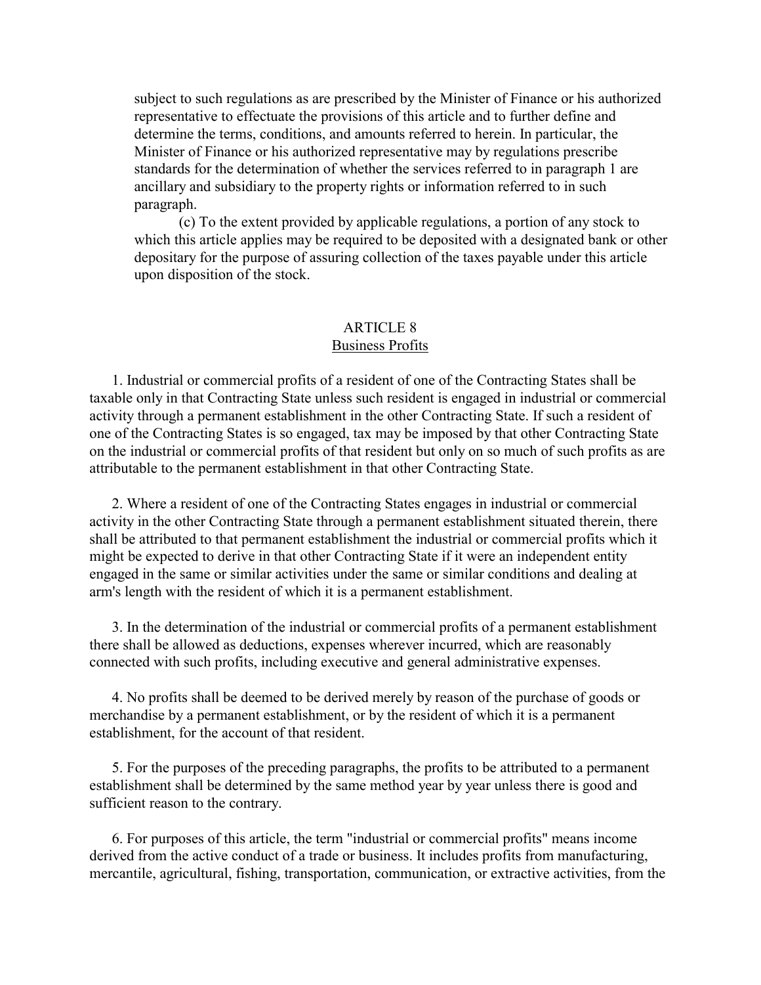<span id="page-12-0"></span>subject to such regulations as are prescribed by the Minister of Finance or his authorized representative to effectuate the provisions of this article and to further define and determine the terms, conditions, and amounts referred to herein. In particular, the Minister of Finance or his authorized representative may by regulations prescribe standards for the determination of whether the services referred to in paragraph 1 are ancillary and subsidiary to the property rights or information referred to in such paragraph.

(c) To the extent provided by applicable regulations, a portion of any stock to which this article applies may be required to be deposited with a designated bank or other depositary for the purpose of assuring collection of the taxes payable under this article upon disposition of the stock.

### ARTICLE 8 Business Profits

 1. Industrial or commercial profits of a resident of one of the Contracting States shall be taxable only in that Contracting State unless such resident is engaged in industrial or commercial activity through a permanent establishment in the other Contracting State. If such a resident of one of the Contracting States is so engaged, tax may be imposed by that other Contracting State on the industrial or commercial profits of that resident but only on so much of such profits as are attributable to the permanent establishment in that other Contracting State.

 2. Where a resident of one of the Contracting States engages in industrial or commercial activity in the other Contracting State through a permanent establishment situated therein, there shall be attributed to that permanent establishment the industrial or commercial profits which it might be expected to derive in that other Contracting State if it were an independent entity engaged in the same or similar activities under the same or similar conditions and dealing at arm's length with the resident of which it is a permanent establishment.

 3. In the determination of the industrial or commercial profits of a permanent establishment there shall be allowed as deductions, expenses wherever incurred, which are reasonably connected with such profits, including executive and general administrative expenses.

 4. No profits shall be deemed to be derived merely by reason of the purchase of goods or merchandise by a permanent establishment, or by the resident of which it is a permanent establishment, for the account of that resident.

 5. For the purposes of the preceding paragraphs, the profits to be attributed to a permanent establishment shall be determined by the same method year by year unless there is good and sufficient reason to the contrary.

 6. For purposes of this article, the term "industrial or commercial profits" means income derived from the active conduct of a trade or business. It includes profits from manufacturing, mercantile, agricultural, fishing, transportation, communication, or extractive activities, from the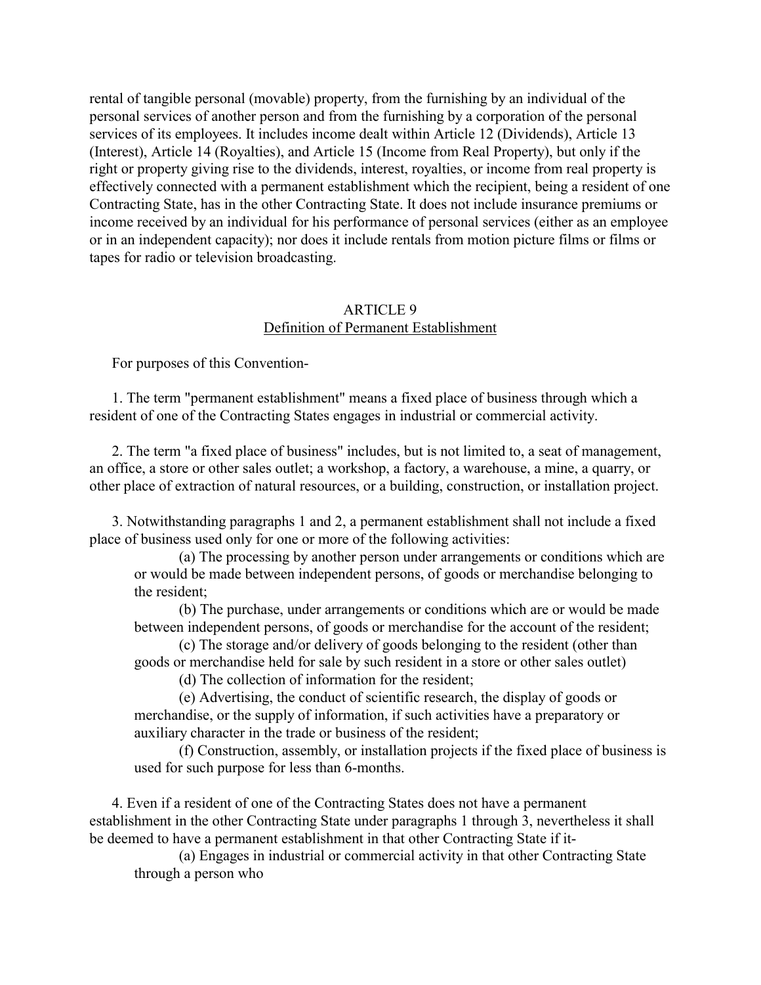<span id="page-13-0"></span>rental of tangible personal (movable) property, from the furnishing by an individual of the personal services of another person and from the furnishing by a corporation of the personal services of its employees. It includes income dealt within Article 12 (Dividends), Article 13 (Interest), Article 14 (Royalties), and Article 15 (Income from Real Property), but only if the right or property giving rise to the dividends, interest, royalties, or income from real property is effectively connected with a permanent establishment which the recipient, being a resident of one Contracting State, has in the other Contracting State. It does not include insurance premiums or income received by an individual for his performance of personal services (either as an employee or in an independent capacity); nor does it include rentals from motion picture films or films or tapes for radio or television broadcasting.

### ARTICLE 9 Definition of Permanent Establishment

For purposes of this Convention-

 1. The term "permanent establishment" means a fixed place of business through which a resident of one of the Contracting States engages in industrial or commercial activity.

 2. The term "a fixed place of business" includes, but is not limited to, a seat of management, an office, a store or other sales outlet; a workshop, a factory, a warehouse, a mine, a quarry, or other place of extraction of natural resources, or a building, construction, or installation project.

 3. Notwithstanding paragraphs 1 and 2, a permanent establishment shall not include a fixed place of business used only for one or more of the following activities:

(a) The processing by another person under arrangements or conditions which are or would be made between independent persons, of goods or merchandise belonging to the resident;

(b) The purchase, under arrangements or conditions which are or would be made between independent persons, of goods or merchandise for the account of the resident;

(c) The storage and/or delivery of goods belonging to the resident (other than goods or merchandise held for sale by such resident in a store or other sales outlet)

(d) The collection of information for the resident;

(e) Advertising, the conduct of scientific research, the display of goods or merchandise, or the supply of information, if such activities have a preparatory or auxiliary character in the trade or business of the resident;

(f) Construction, assembly, or installation projects if the fixed place of business is used for such purpose for less than 6-months.

 4. Even if a resident of one of the Contracting States does not have a permanent establishment in the other Contracting State under paragraphs 1 through 3, nevertheless it shall be deemed to have a permanent establishment in that other Contracting State if it-

(a) Engages in industrial or commercial activity in that other Contracting State through a person who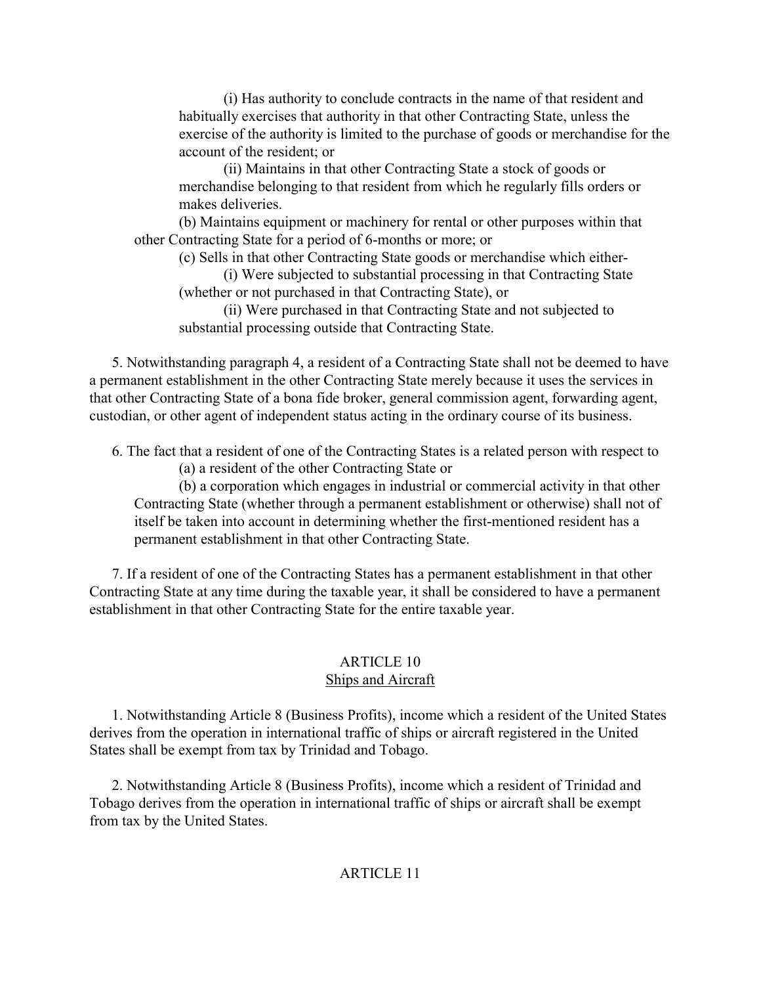(i) Has authority to conclude contracts in the name of that resident and habitually exercises that authority in that other Contracting State, unless the exercise of the authority is limited to the purchase of goods or merchandise for the account of the resident; or

(ii) Maintains in that other Contracting State a stock of goods or merchandise belonging to that resident from which he regularly fills orders or makes deliveries.

(b) Maintains equipment or machinery for rental or other purposes within that other Contracting State for a period of 6-months or more; or

(c) Sells in that other Contracting State goods or merchandise which either-

(i) Were subjected to substantial processing in that Contracting State (whether or not purchased in that Contracting State), or

(ii) Were purchased in that Contracting State and not subjected to substantial processing outside that Contracting State.

<span id="page-14-1"></span><span id="page-14-0"></span> 5. Notwithstanding paragraph 4, a resident of a Contracting State shall not be deemed to have a permanent establishment in the other Contracting State merely because it uses the services in that other Contracting State of a bona fide broker, general commission agent, forwarding agent, custodian, or other agent of independent status acting in the ordinary course of its business.

 6. The fact that a resident of one of the Contracting States is a related person with respect to (a) a resident of the other Contracting State or

(b) a corporation which engages in industrial or commercial activity in that other Contracting State (whether through a permanent establishment or otherwise) shall not of itself be taken into account in determining whether the first-mentioned resident has a permanent establishment in that other Contracting State.

 7. If a resident of one of the Contracting States has a permanent establishment in that other Contracting State at any time during the taxable year, it shall be considered to have a permanent establishment in that other Contracting State for the entire taxable year.

# ARTICLE 10 Ships and Aircraft

 1. Notwithstanding Article 8 (Business Profits), income which a resident of the United States derives from the operation in international traffic of ships or aircraft registered in the United States shall be exempt from tax by Trinidad and Tobago.

 2. Notwithstanding Article 8 (Business Profits), income which a resident of Trinidad and Tobago derives from the operation in international traffic of ships or aircraft shall be exempt from tax by the United States.

# ARTICLE 11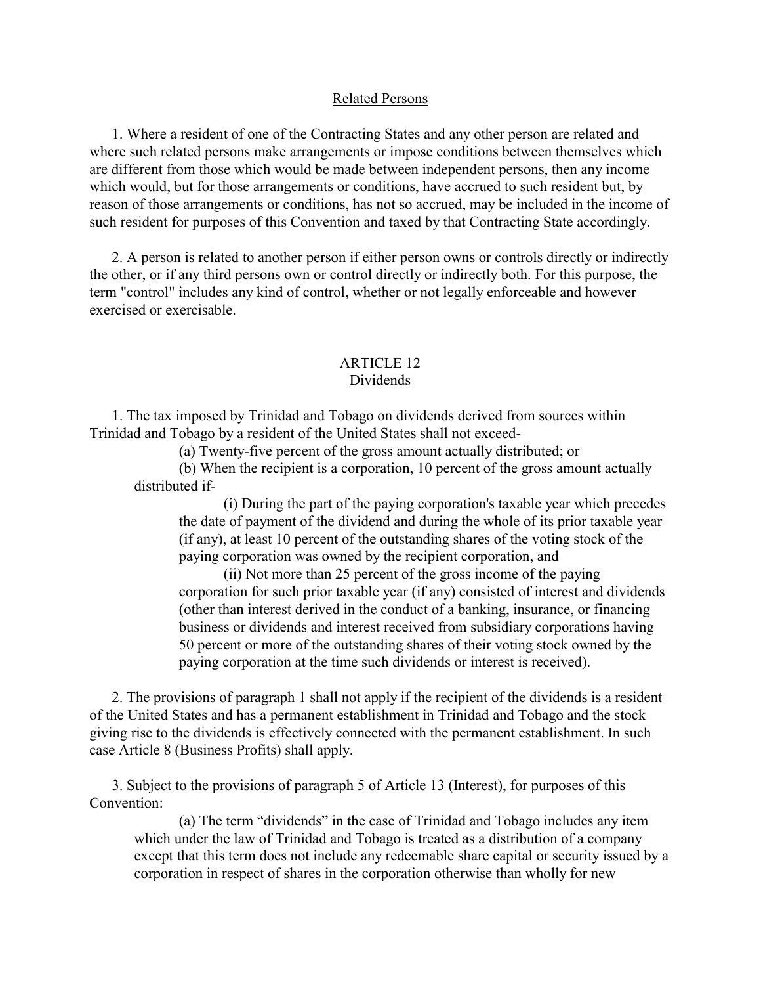### Related Persons

<span id="page-15-0"></span> 1. Where a resident of one of the Contracting States and any other person are related and where such related persons make arrangements or impose conditions between themselves which are different from those which would be made between independent persons, then any income which would, but for those arrangements or conditions, have accrued to such resident but, by reason of those arrangements or conditions, has not so accrued, may be included in the income of such resident for purposes of this Convention and taxed by that Contracting State accordingly.

 2. A person is related to another person if either person owns or controls directly or indirectly the other, or if any third persons own or control directly or indirectly both. For this purpose, the term "control" includes any kind of control, whether or not legally enforceable and however exercised or exercisable.

### ARTICLE 12 Dividends

 1. The tax imposed by Trinidad and Tobago on dividends derived from sources within Trinidad and Tobago by a resident of the United States shall not exceed-

(a) Twenty-five percent of the gross amount actually distributed; or

(b) When the recipient is a corporation, 10 percent of the gross amount actually distributed if-

(i) During the part of the paying corporation's taxable year which precedes the date of payment of the dividend and during the whole of its prior taxable year (if any), at least 10 percent of the outstanding shares of the voting stock of the paying corporation was owned by the recipient corporation, and

(ii) Not more than 25 percent of the gross income of the paying corporation for such prior taxable year (if any) consisted of interest and dividends (other than interest derived in the conduct of a banking, insurance, or financing business or dividends and interest received from subsidiary corporations having 50 percent or more of the outstanding shares of their voting stock owned by the paying corporation at the time such dividends or interest is received).

 2. The provisions of paragraph 1 shall not apply if the recipient of the dividends is a resident of the United States and has a permanent establishment in Trinidad and Tobago and the stock giving rise to the dividends is effectively connected with the permanent establishment. In such case Article 8 (Business Profits) shall apply.

 3. Subject to the provisions of paragraph 5 of Article 13 (Interest), for purposes of this Convention:

(a) The term "dividends" in the case of Trinidad and Tobago includes any item which under the law of Trinidad and Tobago is treated as a distribution of a company except that this term does not include any redeemable share capital or security issued by a corporation in respect of shares in the corporation otherwise than wholly for new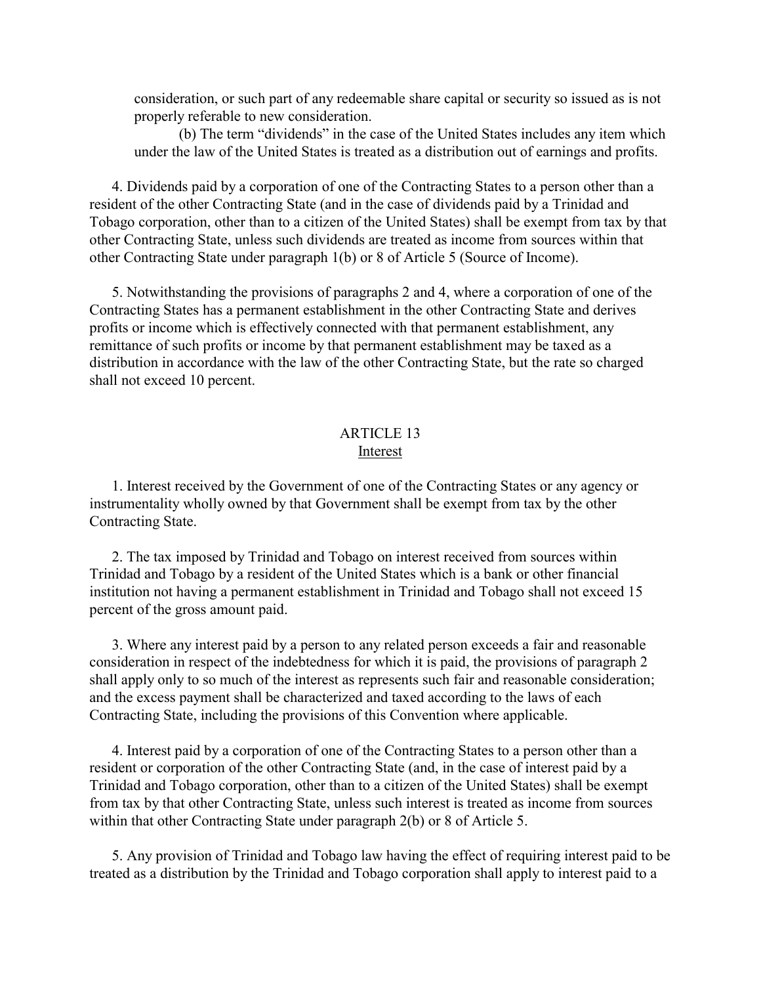<span id="page-16-0"></span>consideration, or such part of any redeemable share capital or security so issued as is not properly referable to new consideration.

(b) The term "dividends" in the case of the United States includes any item which under the law of the United States is treated as a distribution out of earnings and profits.

 4. Dividends paid by a corporation of one of the Contracting States to a person other than a resident of the other Contracting State (and in the case of dividends paid by a Trinidad and Tobago corporation, other than to a citizen of the United States) shall be exempt from tax by that other Contracting State, unless such dividends are treated as income from sources within that other Contracting State under paragraph 1(b) or 8 of Article 5 (Source of Income).

 5. Notwithstanding the provisions of paragraphs 2 and 4, where a corporation of one of the Contracting States has a permanent establishment in the other Contracting State and derives profits or income which is effectively connected with that permanent establishment, any remittance of such profits or income by that permanent establishment may be taxed as a distribution in accordance with the law of the other Contracting State, but the rate so charged shall not exceed 10 percent.

### ARTICLE 13 Interest

 1. Interest received by the Government of one of the Contracting States or any agency or instrumentality wholly owned by that Government shall be exempt from tax by the other Contracting State.

 2. The tax imposed by Trinidad and Tobago on interest received from sources within Trinidad and Tobago by a resident of the United States which is a bank or other financial institution not having a permanent establishment in Trinidad and Tobago shall not exceed 15 percent of the gross amount paid.

 3. Where any interest paid by a person to any related person exceeds a fair and reasonable consideration in respect of the indebtedness for which it is paid, the provisions of paragraph 2 shall apply only to so much of the interest as represents such fair and reasonable consideration; and the excess payment shall be characterized and taxed according to the laws of each Contracting State, including the provisions of this Convention where applicable.

 4. Interest paid by a corporation of one of the Contracting States to a person other than a resident or corporation of the other Contracting State (and, in the case of interest paid by a Trinidad and Tobago corporation, other than to a citizen of the United States) shall be exempt from tax by that other Contracting State, unless such interest is treated as income from sources within that other Contracting State under paragraph 2(b) or 8 of Article 5.

 5. Any provision of Trinidad and Tobago law having the effect of requiring interest paid to be treated as a distribution by the Trinidad and Tobago corporation shall apply to interest paid to a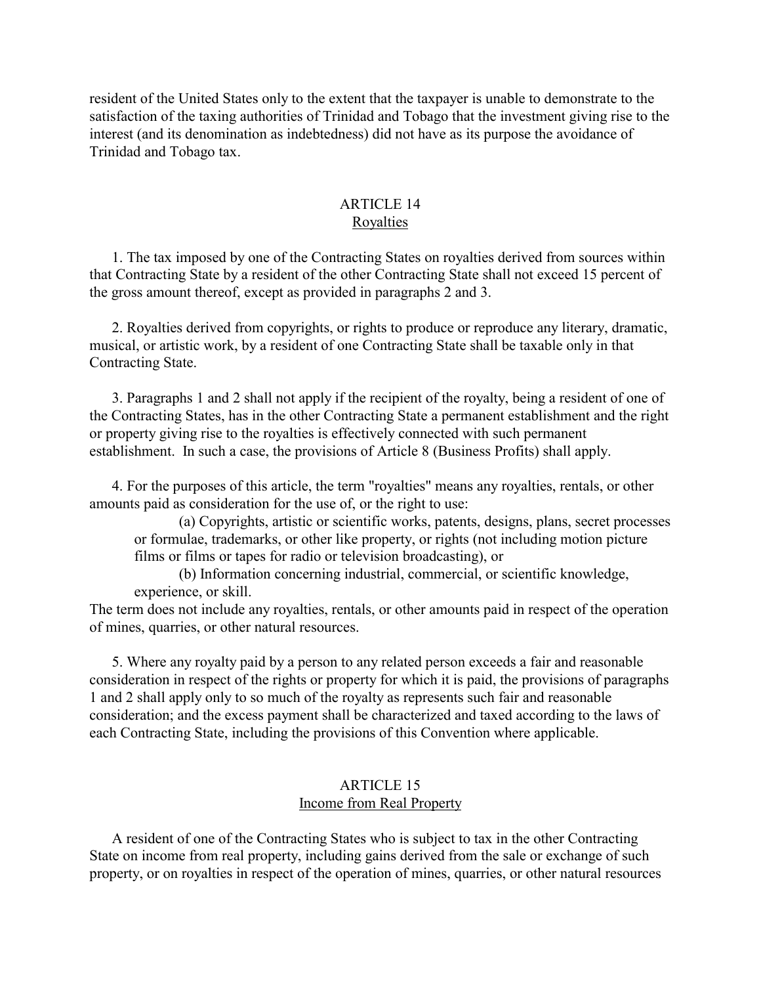<span id="page-17-0"></span>resident of the United States only to the extent that the taxpayer is unable to demonstrate to the satisfaction of the taxing authorities of Trinidad and Tobago that the investment giving rise to the interest (and its denomination as indebtedness) did not have as its purpose the avoidance of Trinidad and Tobago tax.

## ARTICLE 14 Royalties

 1. The tax imposed by one of the Contracting States on royalties derived from sources within that Contracting State by a resident of the other Contracting State shall not exceed 15 percent of the gross amount thereof, except as provided in paragraphs 2 and 3.

 2. Royalties derived from copyrights, or rights to produce or reproduce any literary, dramatic, musical, or artistic work, by a resident of one Contracting State shall be taxable only in that Contracting State.

<span id="page-17-1"></span> 3. Paragraphs 1 and 2 shall not apply if the recipient of the royalty, being a resident of one of the Contracting States, has in the other Contracting State a permanent establishment and the right or property giving rise to the royalties is effectively connected with such permanent establishment. In such a case, the provisions of Article 8 (Business Profits) shall apply.

 4. For the purposes of this article, the term "royalties" means any royalties, rentals, or other amounts paid as consideration for the use of, or the right to use:

(a) Copyrights, artistic or scientific works, patents, designs, plans, secret processes or formulae, trademarks, or other like property, or rights (not including motion picture films or films or tapes for radio or television broadcasting), or

(b) Information concerning industrial, commercial, or scientific knowledge, experience, or skill.

The term does not include any royalties, rentals, or other amounts paid in respect of the operation of mines, quarries, or other natural resources.

 5. Where any royalty paid by a person to any related person exceeds a fair and reasonable consideration in respect of the rights or property for which it is paid, the provisions of paragraphs 1 and 2 shall apply only to so much of the royalty as represents such fair and reasonable consideration; and the excess payment shall be characterized and taxed according to the laws of each Contracting State, including the provisions of this Convention where applicable.

## ARTICLE 15 Income from Real Property

 A resident of one of the Contracting States who is subject to tax in the other Contracting State on income from real property, including gains derived from the sale or exchange of such property, or on royalties in respect of the operation of mines, quarries, or other natural resources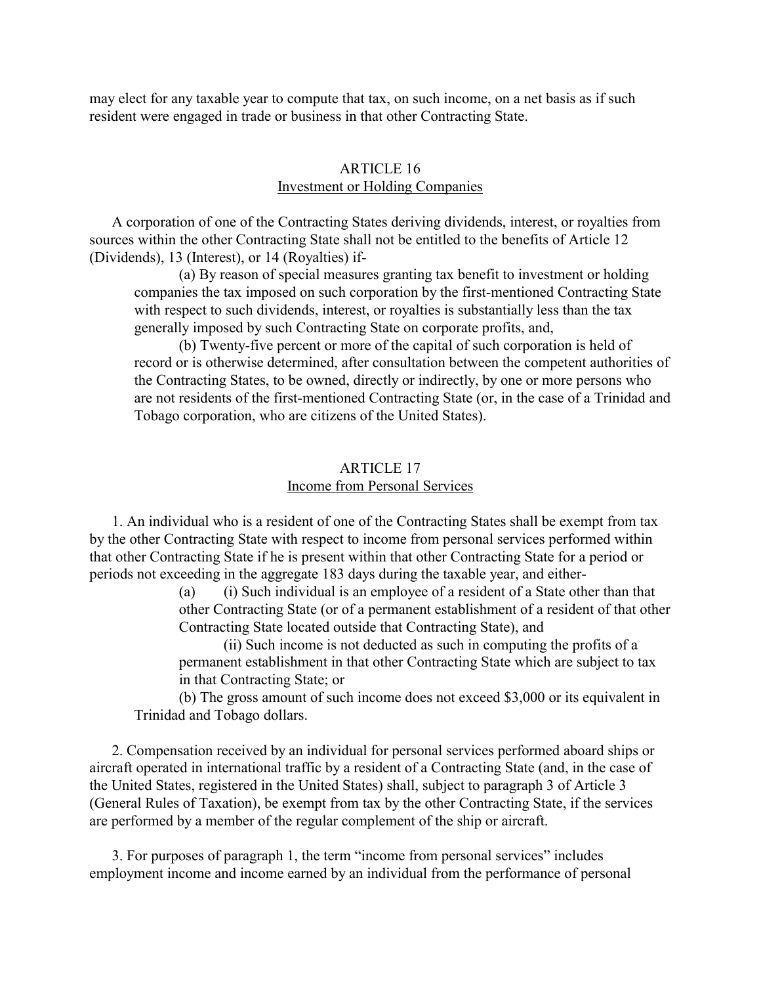<span id="page-18-0"></span>may elect for any taxable year to compute that tax, on such income, on a net basis as if such resident were engaged in trade or business in that other Contracting State.

## ARTICLE 16 Investment or Holding Companies

 A corporation of one of the Contracting States deriving dividends, interest, or royalties from sources within the other Contracting State shall not be entitled to the benefits of Article 12 (Dividends), 13 (Interest), or 14 (Royalties) if-

(a) By reason of special measures granting tax benefit to investment or holding companies the tax imposed on such corporation by the first-mentioned Contracting State with respect to such dividends, interest, or royalties is substantially less than the tax generally imposed by such Contracting State on corporate profits, and,

(b) Twenty-five percent or more of the capital of such corporation is held of record or is otherwise determined, after consultation between the competent authorities of the Contracting States, to be owned, directly or indirectly, by one or more persons who are not residents of the first-mentioned Contracting State (or, in the case of a Trinidad and Tobago corporation, who are citizens of the United States).

### ARTICLE 17 Income from Personal Services

 1. An individual who is a resident of one of the Contracting States shall be exempt from tax by the other Contracting State with respect to income from personal services performed within that other Contracting State if he is present within that other Contracting State for a period or periods not exceeding in the aggregate 183 days during the taxable year, and either-

> (a) (i) Such individual is an employee of a resident of a State other than that other Contracting State (or of a permanent establishment of a resident of that other Contracting State located outside that Contracting State), and

(ii) Such income is not deducted as such in computing the profits of a permanent establishment in that other Contracting State which are subject to tax in that Contracting State; or

(b) The gross amount of such income does not exceed \$3,000 or its equivalent in Trinidad and Tobago dollars.

 2. Compensation received by an individual for personal services performed aboard ships or aircraft operated in international traffic by a resident of a Contracting State (and, in the case of the United States, registered in the United States) shall, subject to paragraph 3 of Article 3 (General Rules of Taxation), be exempt from tax by the other Contracting State, if the services are performed by a member of the regular complement of the ship or aircraft.

 3. For purposes of paragraph 1, the term "income from personal services" includes employment income and income earned by an individual from the performance of personal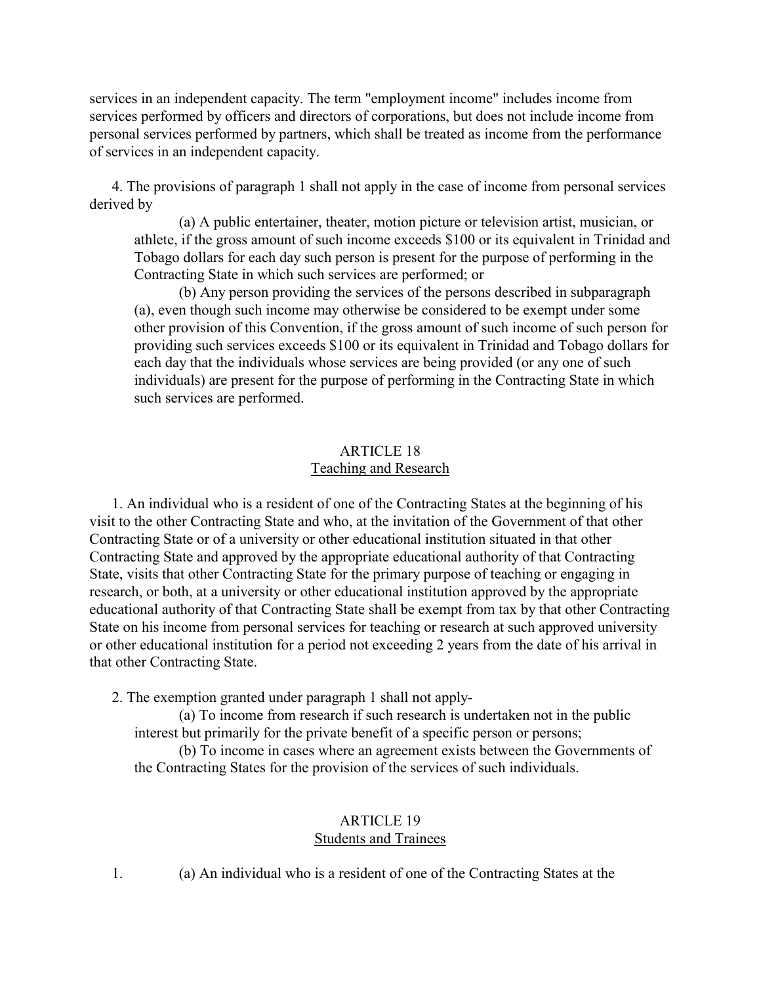<span id="page-19-0"></span>services in an independent capacity. The term "employment income" includes income from services performed by officers and directors of corporations, but does not include income from personal services performed by partners, which shall be treated as income from the performance of services in an independent capacity.

 4. The provisions of paragraph 1 shall not apply in the case of income from personal services derived by

(a) A public entertainer, theater, motion picture or television artist, musician, or athlete, if the gross amount of such income exceeds \$100 or its equivalent in Trinidad and Tobago dollars for each day such person is present for the purpose of performing in the Contracting State in which such services are performed; or

(b) Any person providing the services of the persons described in subparagraph (a), even though such income may otherwise be considered to be exempt under some other provision of this Convention, if the gross amount of such income of such person for providing such services exceeds \$100 or its equivalent in Trinidad and Tobago dollars for each day that the individuals whose services are being provided (or any one of such individuals) are present for the purpose of performing in the Contracting State in which such services are performed.

# ARTICLE 18 Teaching and Research

<span id="page-19-1"></span> 1. An individual who is a resident of one of the Contracting States at the beginning of his visit to the other Contracting State and who, at the invitation of the Government of that other Contracting State or of a university or other educational institution situated in that other Contracting State and approved by the appropriate educational authority of that Contracting State, visits that other Contracting State for the primary purpose of teaching or engaging in research, or both, at a university or other educational institution approved by the appropriate educational authority of that Contracting State shall be exempt from tax by that other Contracting State on his income from personal services for teaching or research at such approved university or other educational institution for a period not exceeding 2 years from the date of his arrival in that other Contracting State.

2. The exemption granted under paragraph 1 shall not apply-

(a) To income from research if such research is undertaken not in the public interest but primarily for the private benefit of a specific person or persons;

(b) To income in cases where an agreement exists between the Governments of the Contracting States for the provision of the services of such individuals.

## ARTICLE 19 Students and Trainees

1. (a) An individual who is a resident of one of the Contracting States at the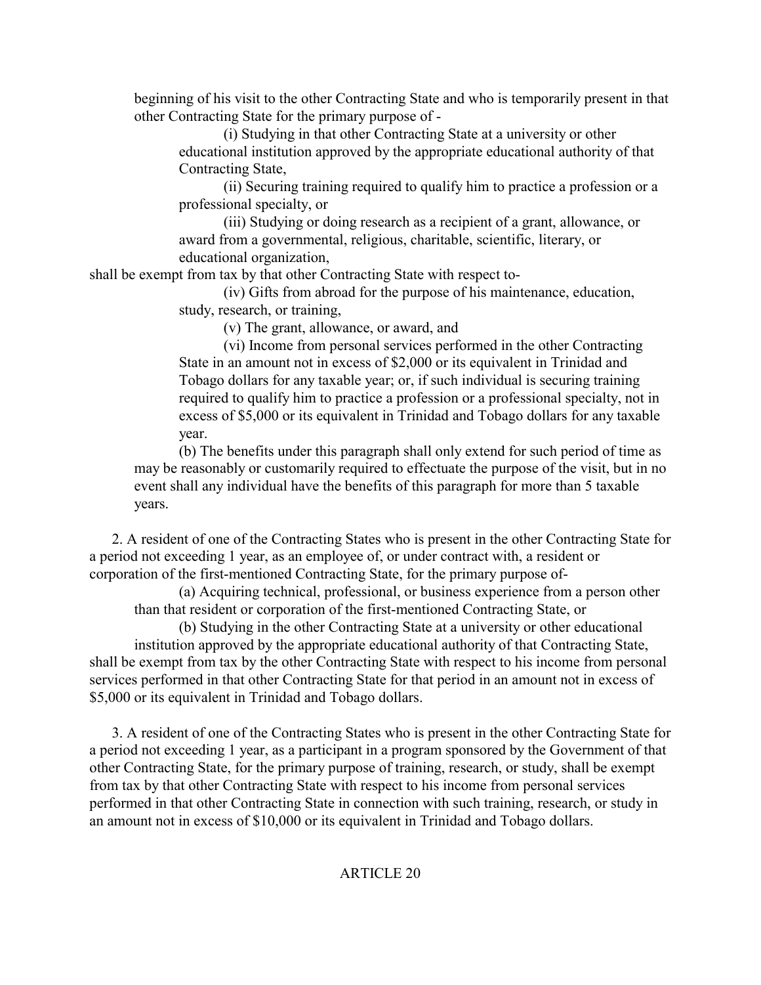beginning of his visit to the other Contracting State and who is temporarily present in that other Contracting State for the primary purpose of -

(i) Studying in that other Contracting State at a university or other educational institution approved by the appropriate educational authority of that Contracting State,

(ii) Securing training required to qualify him to practice a profession or a professional specialty, or

(iii) Studying or doing research as a recipient of a grant, allowance, or award from a governmental, religious, charitable, scientific, literary, or educational organization,

<span id="page-20-0"></span>shall be exempt from tax by that other Contracting State with respect to-

(iv) Gifts from abroad for the purpose of his maintenance, education, study, research, or training,

(v) The grant, allowance, or award, and

(vi) Income from personal services performed in the other Contracting State in an amount not in excess of \$2,000 or its equivalent in Trinidad and Tobago dollars for any taxable year; or, if such individual is securing training required to qualify him to practice a profession or a professional specialty, not in excess of \$5,000 or its equivalent in Trinidad and Tobago dollars for any taxable year.

(b) The benefits under this paragraph shall only extend for such period of time as may be reasonably or customarily required to effectuate the purpose of the visit, but in no event shall any individual have the benefits of this paragraph for more than 5 taxable years.

 2. A resident of one of the Contracting States who is present in the other Contracting State for a period not exceeding 1 year, as an employee of, or under contract with, a resident or corporation of the first-mentioned Contracting State, for the primary purpose of-

(a) Acquiring technical, professional, or business experience from a person other than that resident or corporation of the first-mentioned Contracting State, or

(b) Studying in the other Contracting State at a university or other educational institution approved by the appropriate educational authority of that Contracting State, shall be exempt from tax by the other Contracting State with respect to his income from personal services performed in that other Contracting State for that period in an amount not in excess of \$5,000 or its equivalent in Trinidad and Tobago dollars.

 3. A resident of one of the Contracting States who is present in the other Contracting State for a period not exceeding 1 year, as a participant in a program sponsored by the Government of that other Contracting State, for the primary purpose of training, research, or study, shall be exempt from tax by that other Contracting State with respect to his income from personal services performed in that other Contracting State in connection with such training, research, or study in an amount not in excess of \$10,000 or its equivalent in Trinidad and Tobago dollars.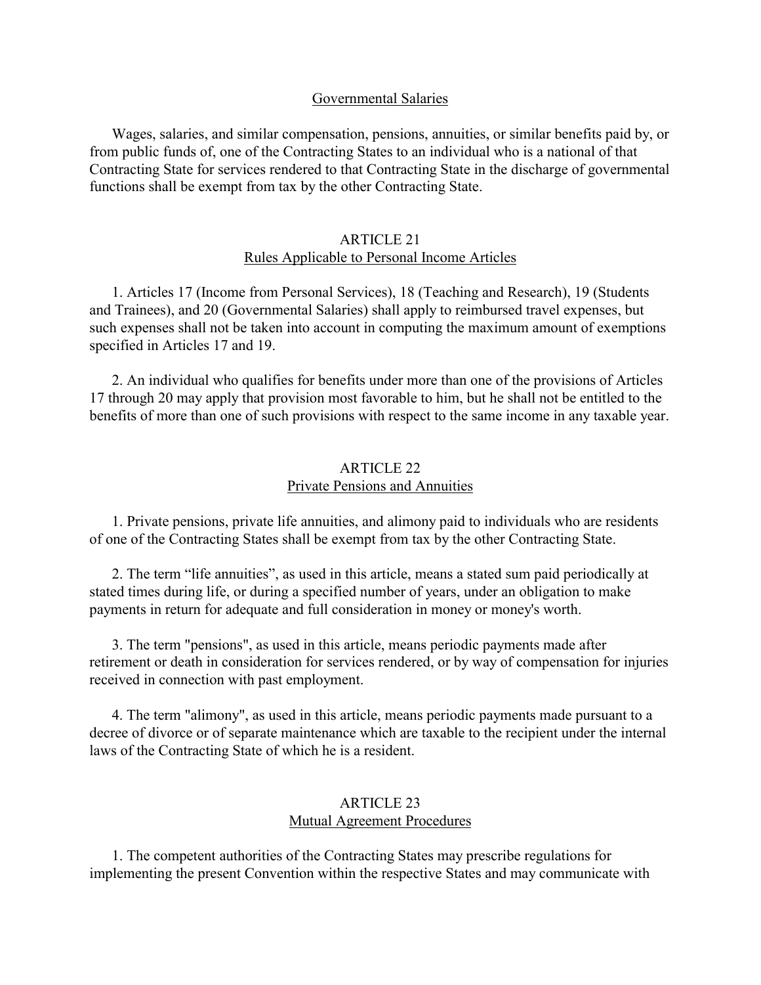### Governmental Salaries

<span id="page-21-0"></span> Wages, salaries, and similar compensation, pensions, annuities, or similar benefits paid by, or from public funds of, one of the Contracting States to an individual who is a national of that Contracting State for services rendered to that Contracting State in the discharge of governmental functions shall be exempt from tax by the other Contracting State.

### ARTICLE 21 Rules Applicable to Personal Income Articles

 1. Articles 17 (Income from Personal Services), 18 (Teaching and Research), 19 (Students and Trainees), and 20 (Governmental Salaries) shall apply to reimbursed travel expenses, but such expenses shall not be taken into account in computing the maximum amount of exemptions specified in Articles 17 and 19.

<span id="page-21-1"></span> 2. An individual who qualifies for benefits under more than one of the provisions of Articles 17 through 20 may apply that provision most favorable to him, but he shall not be entitled to the benefits of more than one of such provisions with respect to the same income in any taxable year.

### ARTICLE 22 Private Pensions and Annuities

 1. Private pensions, private life annuities, and alimony paid to individuals who are residents of one of the Contracting States shall be exempt from tax by the other Contracting State.

 2. The term "life annuities", as used in this article, means a stated sum paid periodically at stated times during life, or during a specified number of years, under an obligation to make payments in return for adequate and full consideration in money or money's worth.

 3. The term "pensions", as used in this article, means periodic payments made after retirement or death in consideration for services rendered, or by way of compensation for injuries received in connection with past employment.

 4. The term "alimony", as used in this article, means periodic payments made pursuant to a decree of divorce or of separate maintenance which are taxable to the recipient under the internal laws of the Contracting State of which he is a resident.

## ARTICLE 23 Mutual Agreement Procedures

 1. The competent authorities of the Contracting States may prescribe regulations for implementing the present Convention within the respective States and may communicate with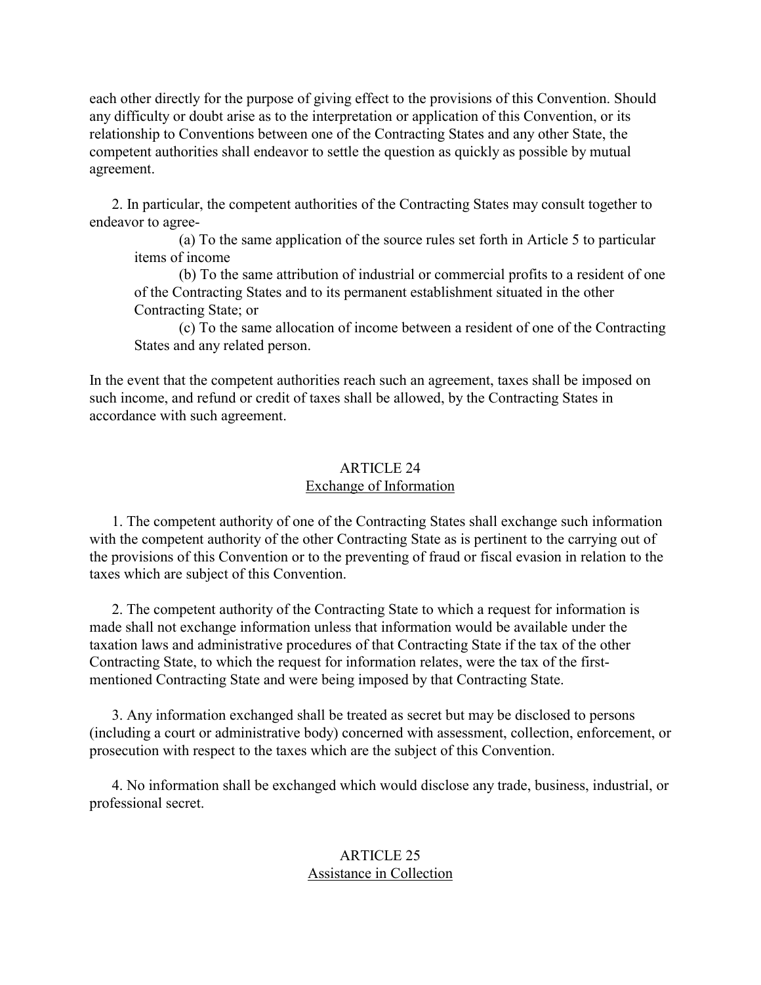<span id="page-22-0"></span>each other directly for the purpose of giving effect to the provisions of this Convention. Should any difficulty or doubt arise as to the interpretation or application of this Convention, or its relationship to Conventions between one of the Contracting States and any other State, the competent authorities shall endeavor to settle the question as quickly as possible by mutual agreement.

 2. In particular, the competent authorities of the Contracting States may consult together to endeavor to agree-

(a) To the same application of the source rules set forth in Article 5 to particular items of income

(b) To the same attribution of industrial or commercial profits to a resident of one of the Contracting States and to its permanent establishment situated in the other Contracting State; or

(c) To the same allocation of income between a resident of one of the Contracting States and any related person.

<span id="page-22-1"></span>In the event that the competent authorities reach such an agreement, taxes shall be imposed on such income, and refund or credit of taxes shall be allowed, by the Contracting States in accordance with such agreement.

## ARTICLE 24 Exchange of Information

 1. The competent authority of one of the Contracting States shall exchange such information with the competent authority of the other Contracting State as is pertinent to the carrying out of the provisions of this Convention or to the preventing of fraud or fiscal evasion in relation to the taxes which are subject of this Convention.

 2. The competent authority of the Contracting State to which a request for information is made shall not exchange information unless that information would be available under the taxation laws and administrative procedures of that Contracting State if the tax of the other Contracting State, to which the request for information relates, were the tax of the firstmentioned Contracting State and were being imposed by that Contracting State.

 3. Any information exchanged shall be treated as secret but may be disclosed to persons (including a court or administrative body) concerned with assessment, collection, enforcement, or prosecution with respect to the taxes which are the subject of this Convention.

 4. No information shall be exchanged which would disclose any trade, business, industrial, or professional secret.

# ARTICLE 25 Assistance in Collection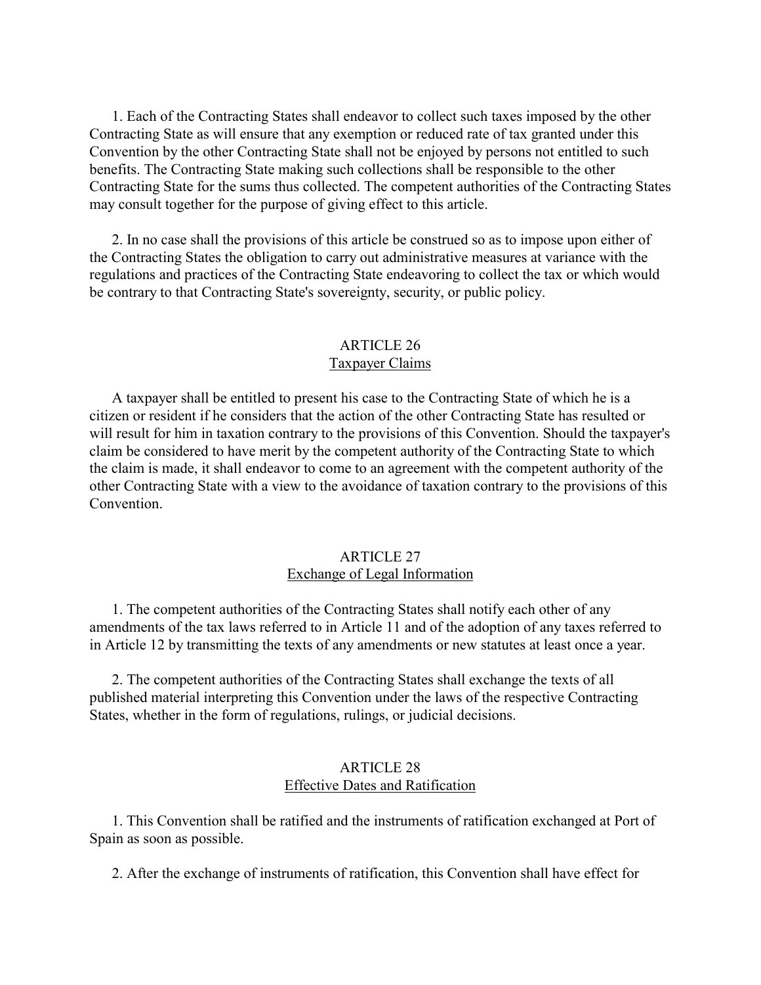<span id="page-23-0"></span> 1. Each of the Contracting States shall endeavor to collect such taxes imposed by the other Contracting State as will ensure that any exemption or reduced rate of tax granted under this Convention by the other Contracting State shall not be enjoyed by persons not entitled to such benefits. The Contracting State making such collections shall be responsible to the other Contracting State for the sums thus collected. The competent authorities of the Contracting States may consult together for the purpose of giving effect to this article.

 2. In no case shall the provisions of this article be construed so as to impose upon either of the Contracting States the obligation to carry out administrative measures at variance with the regulations and practices of the Contracting State endeavoring to collect the tax or which would be contrary to that Contracting State's sovereignty, security, or public policy.

## ARTICLE 26 Taxpayer Claims

<span id="page-23-1"></span> A taxpayer shall be entitled to present his case to the Contracting State of which he is a citizen or resident if he considers that the action of the other Contracting State has resulted or will result for him in taxation contrary to the provisions of this Convention. Should the taxpayer's claim be considered to have merit by the competent authority of the Contracting State to which the claim is made, it shall endeavor to come to an agreement with the competent authority of the other Contracting State with a view to the avoidance of taxation contrary to the provisions of this **Convention** 

## ARTICLE 27 Exchange of Legal Information

 1. The competent authorities of the Contracting States shall notify each other of any amendments of the tax laws referred to in Article 11 and of the adoption of any taxes referred to in Article 12 by transmitting the texts of any amendments or new statutes at least once a year.

 2. The competent authorities of the Contracting States shall exchange the texts of all published material interpreting this Convention under the laws of the respective Contracting States, whether in the form of regulations, rulings, or judicial decisions.

### ARTICLE 28 Effective Dates and Ratification

 1. This Convention shall be ratified and the instruments of ratification exchanged at Port of Spain as soon as possible.

2. After the exchange of instruments of ratification, this Convention shall have effect for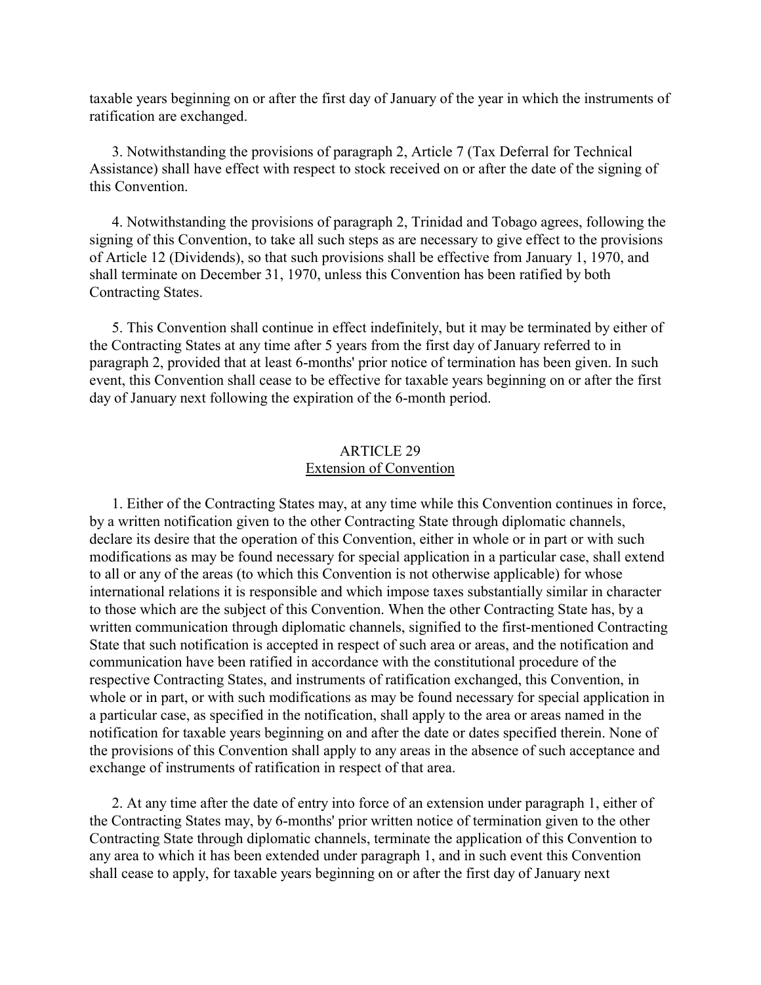<span id="page-24-0"></span>taxable years beginning on or after the first day of January of the year in which the instruments of ratification are exchanged.

 3. Notwithstanding the provisions of paragraph 2, Article 7 (Tax Deferral for Technical Assistance) shall have effect with respect to stock received on or after the date of the signing of this Convention.

 4. Notwithstanding the provisions of paragraph 2, Trinidad and Tobago agrees, following the signing of this Convention, to take all such steps as are necessary to give effect to the provisions of Article 12 (Dividends), so that such provisions shall be effective from January 1, 1970, and shall terminate on December 31, 1970, unless this Convention has been ratified by both Contracting States.

 5. This Convention shall continue in effect indefinitely, but it may be terminated by either of the Contracting States at any time after 5 years from the first day of January referred to in paragraph 2, provided that at least 6-months' prior notice of termination has been given. In such event, this Convention shall cease to be effective for taxable years beginning on or after the first day of January next following the expiration of the 6-month period.

# ARTICLE 29 Extension of Convention

 1. Either of the Contracting States may, at any time while this Convention continues in force, by a written notification given to the other Contracting State through diplomatic channels, declare its desire that the operation of this Convention, either in whole or in part or with such modifications as may be found necessary for special application in a particular case, shall extend to all or any of the areas (to which this Convention is not otherwise applicable) for whose international relations it is responsible and which impose taxes substantially similar in character to those which are the subject of this Convention. When the other Contracting State has, by a written communication through diplomatic channels, signified to the first-mentioned Contracting State that such notification is accepted in respect of such area or areas, and the notification and communication have been ratified in accordance with the constitutional procedure of the respective Contracting States, and instruments of ratification exchanged, this Convention, in whole or in part, or with such modifications as may be found necessary for special application in a particular case, as specified in the notification, shall apply to the area or areas named in the notification for taxable years beginning on and after the date or dates specified therein. None of the provisions of this Convention shall apply to any areas in the absence of such acceptance and exchange of instruments of ratification in respect of that area.

 2. At any time after the date of entry into force of an extension under paragraph 1, either of the Contracting States may, by 6-months' prior written notice of termination given to the other Contracting State through diplomatic channels, terminate the application of this Convention to any area to which it has been extended under paragraph 1, and in such event this Convention shall cease to apply, for taxable years beginning on or after the first day of January next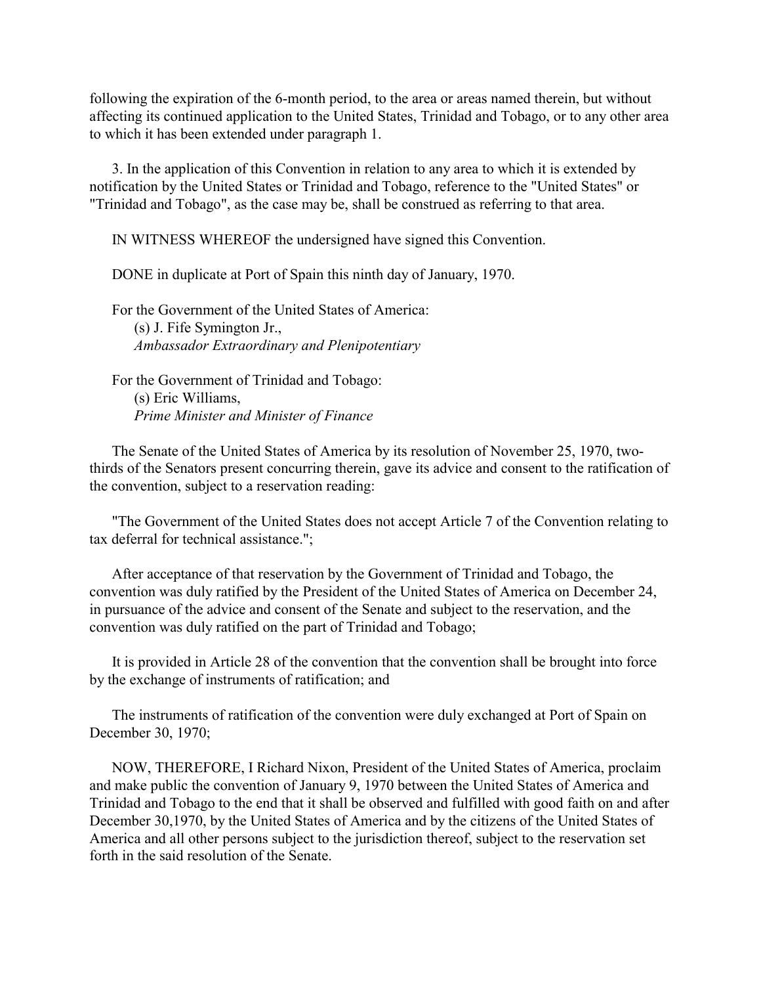following the expiration of the 6-month period, to the area or areas named therein, but without affecting its continued application to the United States, Trinidad and Tobago, or to any other area to which it has been extended under paragraph 1.

 3. In the application of this Convention in relation to any area to which it is extended by notification by the United States or Trinidad and Tobago, reference to the "United States" or "Trinidad and Tobago", as the case may be, shall be construed as referring to that area.

IN WITNESS WHEREOF the undersigned have signed this Convention.

DONE in duplicate at Port of Spain this ninth day of January, 1970.

 For the Government of the United States of America: (s) J. Fife Symington Jr., *Ambassador Extraordinary and Plenipotentiary*

 For the Government of Trinidad and Tobago: (s) Eric Williams, *Prime Minister and Minister of Finance*

 The Senate of the United States of America by its resolution of November 25, 1970, twothirds of the Senators present concurring therein, gave its advice and consent to the ratification of the convention, subject to a reservation reading:

 "The Government of the United States does not accept Article 7 of the Convention relating to tax deferral for technical assistance.";

 After acceptance of that reservation by the Government of Trinidad and Tobago, the convention was duly ratified by the President of the United States of America on December 24, in pursuance of the advice and consent of the Senate and subject to the reservation, and the convention was duly ratified on the part of Trinidad and Tobago;

 It is provided in Article 28 of the convention that the convention shall be brought into force by the exchange of instruments of ratification; and

 The instruments of ratification of the convention were duly exchanged at Port of Spain on December 30, 1970;

 NOW, THEREFORE, I Richard Nixon, President of the United States of America, proclaim and make public the convention of January 9, 1970 between the United States of America and Trinidad and Tobago to the end that it shall be observed and fulfilled with good faith on and after December 30,1970, by the United States of America and by the citizens of the United States of America and all other persons subject to the jurisdiction thereof, subject to the reservation set forth in the said resolution of the Senate.